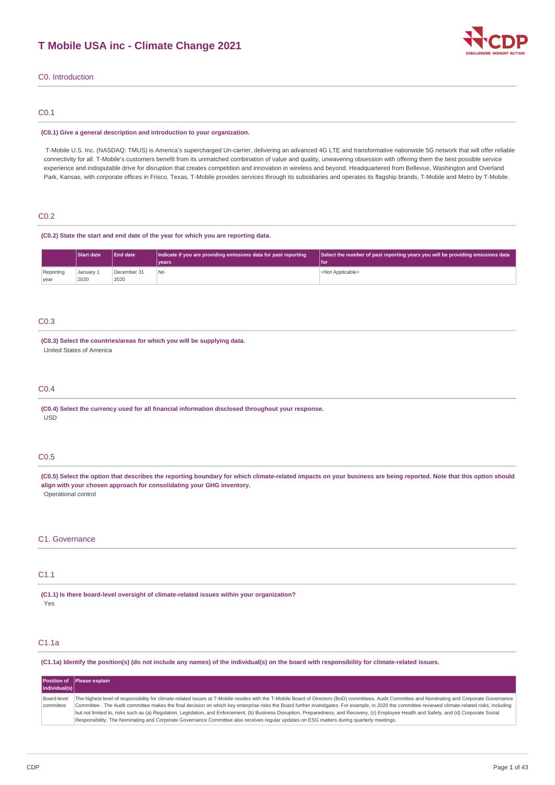

### C0. Introduction

### C0.1

#### **(C0.1) Give a general description and introduction to your organization.**

T-Mobile U.S. Inc. (NASDAQ: TMUS) is America's supercharged Un-carrier, delivering an advanced 4G LTE and transformative nationwide 5G network that will offer reliable connectivity for all. T-Mobile's customers benefit from its unmatched combination of value and quality, unwavering obsession with offering them the best possible service experience and indisputable drive for disruption that creates competition and innovation in wireless and beyond. Headquartered from Bellevue, Washington and Overland Park, Kansas, with corporate offices in Frisco, Texas, T-Mobile provides services through its subsidiaries and operates its flagship brands, T-Mobile and Metro by T-Mobile.

### C0.2

### **(C0.2) State the start and end date of the year for which you are reporting data.**

|                   | <b>Start date</b> | <b>End date</b>     | Indicate if you are providing emissions data for past reporting<br>l vears | Select the number of past reporting years you will be providing emissions data<br>l for |
|-------------------|-------------------|---------------------|----------------------------------------------------------------------------|-----------------------------------------------------------------------------------------|
| Reporting<br>year | January 1<br>2020 | December 31<br>2020 | No.                                                                        | <not applicable=""></not>                                                               |

### C0.3

### **(C0.3) Select the countries/areas for which you will be supplying data.** United States of America

### C0.4

**(C0.4) Select the currency used for all financial information disclosed throughout your response.** USD

### C0.5

(C0.5) Select the option that describes the reporting boundary for which climate-related impacts on your business are being reported. Note that this option should **align with your chosen approach for consolidating your GHG inventory.** Operational control

### C1. Governance

### C1.1

**(C1.1) Is there board-level oversight of climate-related issues within your organization?** Yes

# C1.1a

(C1.1a) Identify the position(s) (do not include any names) of the individual(s) on the board with responsibility for climate-related issues.

|                          | Position of Please explain                                                                                                                                                                                                                                                                                                                                                                                                                                                                                                                                                                                                                                                                                                                             |
|--------------------------|--------------------------------------------------------------------------------------------------------------------------------------------------------------------------------------------------------------------------------------------------------------------------------------------------------------------------------------------------------------------------------------------------------------------------------------------------------------------------------------------------------------------------------------------------------------------------------------------------------------------------------------------------------------------------------------------------------------------------------------------------------|
| individual(s)            |                                                                                                                                                                                                                                                                                                                                                                                                                                                                                                                                                                                                                                                                                                                                                        |
| Board-level<br>committee | The highest level of responsibility for climate-related issues at T-Mobile resides with the T-Mobile Board of Directors (BoD) committees, Audit Committee and Nominating and Corporate Governance<br>Committee . The Audit committee makes the final decision on which key enterprise risks the Board further investigates. For example, in 2020 the committee reviewed climate-related risks, including<br>but not limited to, risks such as (a) Requlation, Legislation, and Enforcement, (b) Business Disruption, Preparedness, and Recovery, (c) Employee Health and Safety, and (d) Corporate Social<br>Responsibility. The Nominating and Corporate Governance Committee also receives regular updates on ESG matters during quarterly meetings. |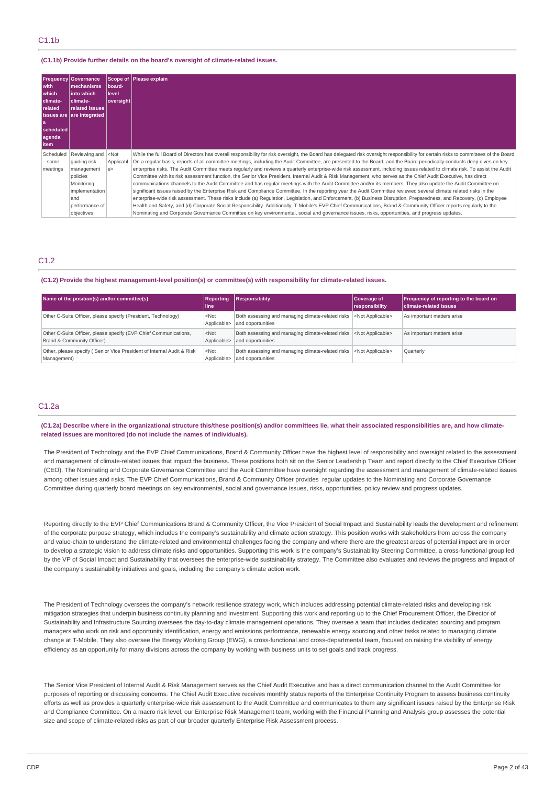### **(C1.1b) Provide further details on the board's oversight of climate-related issues.**

| with<br>which<br>climate-<br>related<br>۱a<br>scheduled<br>agenda<br>  item | <b>Frequency Governance</b><br>mechanisms<br>into which<br>climate-<br>related issues<br>  issues are   are integrated         | <b>Iboard-</b><br>llevel<br> oversight | Scope of Please explain                                                                                                                                                                                                                                                                                                                                                                                                                                                                                                                                                                                                                                                                                                                                                                                                                                                                                                                                                                                                                                                                                                                                                                                                                                                                                                                                                                                                                                                                                                                              |
|-----------------------------------------------------------------------------|--------------------------------------------------------------------------------------------------------------------------------|----------------------------------------|------------------------------------------------------------------------------------------------------------------------------------------------------------------------------------------------------------------------------------------------------------------------------------------------------------------------------------------------------------------------------------------------------------------------------------------------------------------------------------------------------------------------------------------------------------------------------------------------------------------------------------------------------------------------------------------------------------------------------------------------------------------------------------------------------------------------------------------------------------------------------------------------------------------------------------------------------------------------------------------------------------------------------------------------------------------------------------------------------------------------------------------------------------------------------------------------------------------------------------------------------------------------------------------------------------------------------------------------------------------------------------------------------------------------------------------------------------------------------------------------------------------------------------------------------|
| Scheduled<br>- some<br>meetings                                             | Reviewing and<br>quiding risk<br>management<br>policies<br>Monitoring<br>implementation<br>and<br>performance of<br>objectives | $<$ Not<br>Applicabl<br>e              | While the full Board of Directors has overall responsibility for risk oversight, the Board has delegated risk oversight responsibility for certain risks to committees of the Board.<br>On a regular basis, reports of all committee meetings, including the Audit Committee, are presented to the Board, and the Board periodically conducts deep dives on key<br>enterprise risks. The Audit Committee meets regularly and reviews a guarterly enterprise-wide risk assessment, including issues related to climate risk. To assist the Audit<br>Committee with its risk assessment function, the Senior Vice President, Internal Audit & Risk Management, who serves as the Chief Audit Executive, has direct<br>communications channels to the Audit Committee and has regular meetings with the Audit Committee and/or its members. They also update the Audit Committee on<br>significant issues raised by the Enterprise Risk and Compliance Committee. In the reporting year the Audit Committee reviewed several climate related risks in the<br>enterprise-wide risk assessment. These risks include (a) Requlation, Legislation, and Enforcement, (b) Business Disruption, Preparedness, and Recovery, (c) Employee<br>Health and Safety, and (d) Corporate Social Responsibility. Additionally, T-Mobile's EVP Chief Communications, Brand & Community Officer reports regularly to the<br>Nominating and Corporate Governance Committee on key environmental, social and governance issues, risks, opportunities, and progress updates. |

# C1.2

#### **(C1.2) Provide the highest management-level position(s) or committee(s) with responsibility for climate-related issues.**

| Name of the position(s) and/or committee(s)                                                    | Reporting<br>lline:    | Responsibility                                                                                    | Coverage of<br>responsibility | Frequency of reporting to the board on<br><b>climate-related issues</b> |
|------------------------------------------------------------------------------------------------|------------------------|---------------------------------------------------------------------------------------------------|-------------------------------|-------------------------------------------------------------------------|
| Other C-Suite Officer, please specify (President, Technology)                                  | $<$ Not<br>Applicable> | Both assessing and managing climate-related risks <not applicable=""><br/>and opportunities</not> |                               | As important matters arise                                              |
| Other C-Suite Officer, please specify (EVP Chief Communications,<br>Brand & Community Officer) | $<$ Not<br>Applicable> | Both assessing and managing climate-related risks <not applicable=""><br/>and opportunities</not> |                               | As important matters arise                                              |
| Other, please specify (Senior Vice President of Internal Audit & Risk<br>Management)           | $<$ Not<br>Applicable> | Both assessing and managing climate-related risks <not applicable=""><br/>and opportunities</not> |                               | <b>Quarterly</b>                                                        |

# C1.2a

(C1.2a) Describe where in the organizational structure this/these position(s) and/or committees lie, what their associated responsibilities are, and how climate**related issues are monitored (do not include the names of individuals).**

The President of Technology and the EVP Chief Communications, Brand & Community Officer have the highest level of responsibility and oversight related to the assessment and management of climate-related issues that impact the business. These positions both sit on the Senior Leadership Team and report directly to the Chief Executive Officer (CEO). The Nominating and Corporate Governance Committee and the Audit Committee have oversight regarding the assessment and management of climate-related issues among other issues and risks. The EVP Chief Communications, Brand & Community Officer provides regular updates to the Nominating and Corporate Governance Committee during quarterly board meetings on key environmental, social and governance issues, risks, opportunities, policy review and progress updates.

Reporting directly to the EVP Chief Communications Brand & Community Officer, the Vice President of Social Impact and Sustainability leads the development and refinement of the corporate purpose strategy, which includes the company's sustainability and climate action strategy. This position works with stakeholders from across the company and value-chain to understand the climate-related and environmental challenges facing the company and where there are the greatest areas of potential impact are in order to develop a strategic vision to address climate risks and opportunities. Supporting this work is the company's Sustainability Steering Committee, a cross-functional group led by the VP of Social Impact and Sustainability that oversees the enterprise-wide sustainability strategy. The Committee also evaluates and reviews the progress and impact of the company's sustainability initiatives and goals, including the company's climate action work.

The President of Technology oversees the company's network resilience strategy work, which includes addressing potential climate-related risks and developing risk mitigation strategies that underpin business continuity planning and investment. Supporting this work and reporting up to the Chief Procurement Officer, the Director of Sustainability and Infrastructure Sourcing oversees the day-to-day climate management operations. They oversee a team that includes dedicated sourcing and program managers who work on risk and opportunity identification, energy and emissions performance, renewable energy sourcing and other tasks related to managing climate change at T-Mobile. They also oversee the Energy Working Group (EWG), a cross-functional and cross-departmental team, focused on raising the visibility of energy efficiency as an opportunity for many divisions across the company by working with business units to set goals and track progress.

The Senior Vice President of Internal Audit & Risk Management serves as the Chief Audit Executive and has a direct communication channel to the Audit Committee for purposes of reporting or discussing concerns. The Chief Audit Executive receives monthly status reports of the Enterprise Continuity Program to assess business continuity efforts as well as provides a quarterly enterprise-wide risk assessment to the Audit Committee and communicates to them any significant issues raised by the Enterprise Risk and Compliance Committee. On a macro risk level, our Enterprise Risk Management team, working with the Financial Planning and Analysis group assesses the potential size and scope of climate-related risks as part of our broader quarterly Enterprise Risk Assessment process.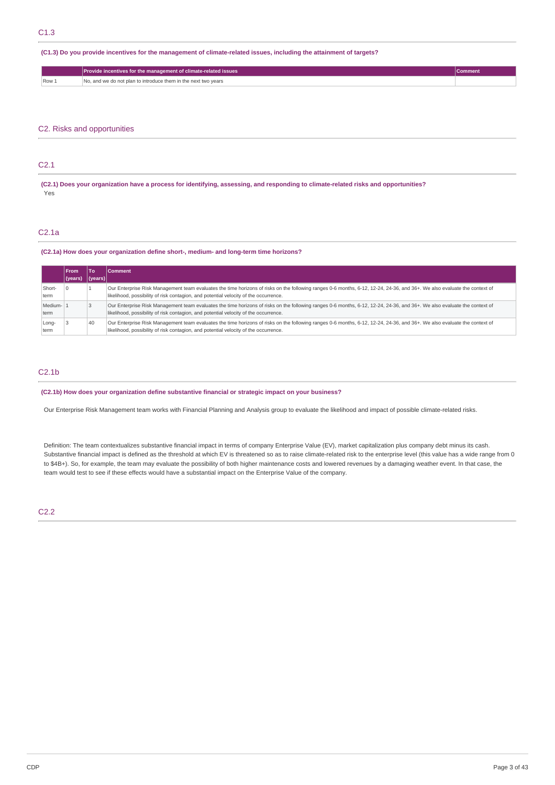(C1.3) Do you provide incentives for the management of climate-related issues, including the attainment of targets?

|       | Provide incentives for the management of climate-related issues | Comment |
|-------|-----------------------------------------------------------------|---------|
| Row 1 | No, and we do not plan to introduce them in the next two vears  |         |

# C2. Risks and opportunities

### C2.1

(C2.1) Does your organization have a process for identifying, assessing, and responding to climate-related risks and opportunities? Yes

### C2.1a

### **(C2.1a) How does your organization define short-, medium- and long-term time horizons?**

|                  | <b>From</b> | To               | Comment                                                                                                                                                                                                                                                           |
|------------------|-------------|------------------|-------------------------------------------------------------------------------------------------------------------------------------------------------------------------------------------------------------------------------------------------------------------|
|                  | l (years)   | ( <i>years</i> ) |                                                                                                                                                                                                                                                                   |
| Short-<br>term   |             |                  | Our Enterprise Risk Management team evaluates the time horizons of risks on the following ranges 0-6 months, 6-12, 12-24, 24-36, and 36+. We also evaluate the context of<br>likelihood, possibility of risk contagion, and potential velocity of the occurrence. |
| Medium-1<br>term |             |                  | Our Enterprise Risk Management team evaluates the time horizons of risks on the following ranges 0-6 months, 6-12, 12-24, 24-36, and 36+. We also evaluate the context of<br>likelihood, possibility of risk contagion, and potential velocity of the occurrence. |
| Long-<br>term    |             | 40               | Our Enterprise Risk Management team evaluates the time horizons of risks on the following ranges 0-6 months, 6-12, 12-24, 24-36, and 36+. We also evaluate the context of<br>likelihood, possibility of risk contagion, and potential velocity of the occurrence. |

# C2.1b

**(C2.1b) How does your organization define substantive financial or strategic impact on your business?**

Our Enterprise Risk Management team works with Financial Planning and Analysis group to evaluate the likelihood and impact of possible climate-related risks.

Definition: The team contextualizes substantive financial impact in terms of company Enterprise Value (EV), market capitalization plus company debt minus its cash. Substantive financial impact is defined as the threshold at which EV is threatened so as to raise climate-related risk to the enterprise level (this value has a wide range from 0 to \$4B+). So, for example, the team may evaluate the possibility of both higher maintenance costs and lowered revenues by a damaging weather event. In that case, the team would test to see if these effects would have a substantial impact on the Enterprise Value of the company.

C2.2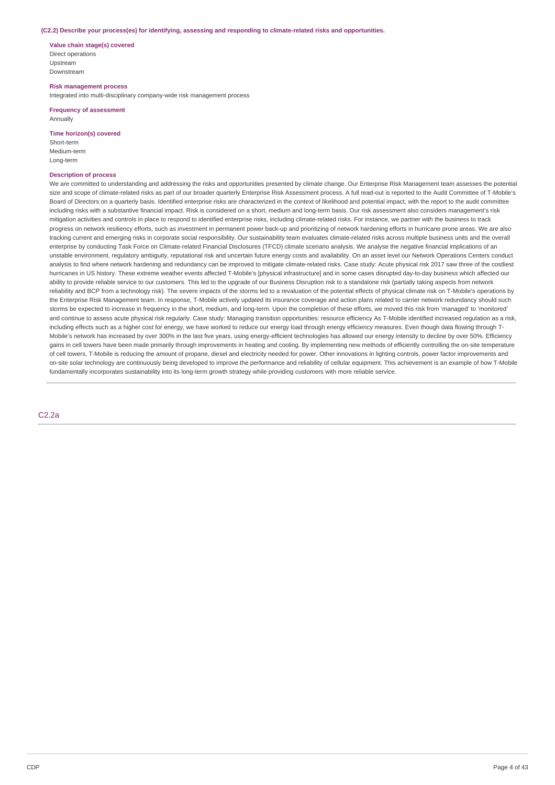#### **(C2.2) Describe your process(es) for identifying, assessing and responding to climate-related risks and opportunities.**

**Value chain stage(s) covered** Direct operations Upstream Downstream

**Risk management process** Integrated into multi-disciplinary company-wide risk management process

**Frequency of assessment** Annually

**Time horizon(s) covered**

Short-term Medium-term Long-term

#### **Description of process**

We are committed to understanding and addressing the risks and opportunities presented by climate change. Our Enterprise Risk Management team assesses the potential size and scope of climate-related risks as part of our broader quarterly Enterprise Risk Assessment process. A full read-out is reported to the Audit Committee of T-Mobile's Board of Directors on a quarterly basis. Identified enterprise risks are characterized in the context of likelihood and potential impact, with the report to the audit committee including risks with a substantive financial impact. Risk is considered on a short, medium and long-term basis. Our risk assessment also considers management's risk mitigation activities and controls in place to respond to identified enterprise risks, including climate-related risks. For instance, we partner with the business to track progress on network resiliency efforts, such as investment in permanent power back-up and prioritizing of network hardening efforts in hurricane prone areas. We are also tracking current and emerging risks in corporate social responsibility. Our sustainability team evaluates climate-related risks across multiple business units and the overall enterprise by conducting Task Force on Climate-related Financial Disclosures (TFCD) climate scenario analysis. We analyse the negative financial implications of an unstable environment, regulatory ambiguity, reputational risk and uncertain future energy costs and availability. On an asset level our Network Operations Centers conduct analysis to find where network hardening and redundancy can be improved to mitigate climate-related risks. Case study: Acute physical risk 2017 saw three of the costliest hurricanes in US history. These extreme weather events affected T-Mobile's [physical infrastructure] and in some cases disrupted day-to-day business which affected our ability to provide reliable service to our customers. This led to the upgrade of our Business Disruption risk to a standalone risk (partially taking aspects from network reliability and BCP from a technology risk). The severe impacts of the storms led to a revaluation of the potential effects of physical climate risk on T-Mobile's operations by the Enterprise Risk Management team. In response, T-Mobile actively updated its insurance coverage and action plans related to carrier network redundancy should such storms be expected to increase in frequency in the short, medium, and long-term. Upon the completion of these efforts, we moved this risk from 'managed' to 'monitored' and continue to assess acute physical risk regularly. Case study: Managing transition opportunities: resource efficiency As T-Mobile identified increased regulation as a risk, including effects such as a higher cost for energy, we have worked to reduce our energy load through energy efficiency measures. Even though data flowing through T-Mobile's network has increased by over 300% in the last five years, using energy-efficient technologies has allowed our energy intensity to decline by over 50%. Efficiency gains in cell towers have been made primarily through improvements in heating and cooling. By implementing new methods of efficiently controlling the on-site temperature of cell towers, T-Mobile is reducing the amount of propane, diesel and electricity needed for power. Other innovations in lighting controls, power factor improvements and on-site solar technology are continuously being developed to improve the performance and reliability of cellular equipment. This achievement is an example of how T-Mobile fundamentally incorporates sustainability into its long-term growth strategy while providing customers with more reliable service.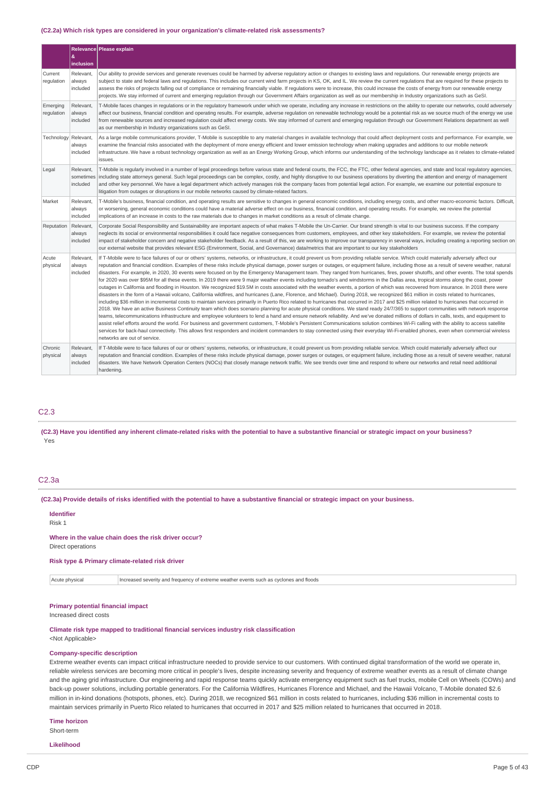#### **(C2.2a) Which risk types are considered in your organization's climate-related risk assessments?**

|                        | æ.<br>inclusion                    | Relevance Please explain                                                                                                                                                                                                                                                                                                                                                                                                                                                                                                                                                                                                                                                                                                                                                                                                                                                                                                                                                                                                                                                                                                                                                                                                                                                                                                                                                                                                                                                                                                                                                                                                                                                                                                                                                                                                                                                                                                                                                                                                                                                                                                                                         |
|------------------------|------------------------------------|------------------------------------------------------------------------------------------------------------------------------------------------------------------------------------------------------------------------------------------------------------------------------------------------------------------------------------------------------------------------------------------------------------------------------------------------------------------------------------------------------------------------------------------------------------------------------------------------------------------------------------------------------------------------------------------------------------------------------------------------------------------------------------------------------------------------------------------------------------------------------------------------------------------------------------------------------------------------------------------------------------------------------------------------------------------------------------------------------------------------------------------------------------------------------------------------------------------------------------------------------------------------------------------------------------------------------------------------------------------------------------------------------------------------------------------------------------------------------------------------------------------------------------------------------------------------------------------------------------------------------------------------------------------------------------------------------------------------------------------------------------------------------------------------------------------------------------------------------------------------------------------------------------------------------------------------------------------------------------------------------------------------------------------------------------------------------------------------------------------------------------------------------------------|
| Current<br>regulation  | Relevant.<br>always<br>included    | Our ability to provide services and generate revenues could be harmed by adverse regulatory action or changes to existing laws and regulations. Our renewable energy projects are<br>subject to state and federal laws and regulations. This includes our current wind farm projects in KS, OK, and IL. We review the current regulations that are required for these projects to<br>assess the risks of projects falling out of compliance or remaining financially viable. If regulations were to increase, this could increase the costs of energy from our renewable energy<br>projects. We stay informed of current and emerging regulation through our Government Affairs organization as well as our membership in Industry organizations such as GeSI.                                                                                                                                                                                                                                                                                                                                                                                                                                                                                                                                                                                                                                                                                                                                                                                                                                                                                                                                                                                                                                                                                                                                                                                                                                                                                                                                                                                                   |
| Emerging<br>regulation | Relevant.<br>always<br>included    | T-Mobile faces changes in regulations or in the regulatory framework under which we operate, including any increase in restrictions on the ability to operate our networks, could adversely<br>affect our business, financial condition and operating results. For example, adverse regulation on renewable technology would be a potential risk as we source much of the energy we use<br>from renewable sources and increased regulation could affect energy costs. We stay informed of current and emerging regulation through our Government Relations department as well<br>as our membership in Industry organizations such as GeSI.                                                                                                                                                                                                                                                                                                                                                                                                                                                                                                                                                                                                                                                                                                                                                                                                                                                                                                                                                                                                                                                                                                                                                                                                                                                                                                                                                                                                                                                                                                                       |
| Technology             | Relevant,<br>always<br>included    | As a large mobile communications provider, T-Mobile is susceptible to any material changes in available technology that could affect deployment costs and performance. For example, we<br>examine the financial risks associated with the deployment of more energy efficient and lower emission technology when making upgrades and additions to our mobile network<br>infrastructure. We have a robust technology organization as well as an Energy Working Group, which informs our understanding of the technology landscape as it relates to climate-related<br>issues.                                                                                                                                                                                                                                                                                                                                                                                                                                                                                                                                                                                                                                                                                                                                                                                                                                                                                                                                                                                                                                                                                                                                                                                                                                                                                                                                                                                                                                                                                                                                                                                     |
| Legal                  | Relevant,<br>sometimes<br>included | T-Mobile is regularly involved in a number of legal proceedings before various state and federal courts, the FCC, the FTC, other federal agencies, and state and local regulatory agencies,<br>including state attorneys general. Such legal proceedings can be complex, costly, and highly disruptive to our business operations by diverting the attention and energy of management<br>and other key personnel. We have a legal department which actively manages risk the company faces from potential legal action. For example, we examine our potential exposure to<br>litigation from outages or disruptions in our mobile networks caused by climate-related factors.                                                                                                                                                                                                                                                                                                                                                                                                                                                                                                                                                                                                                                                                                                                                                                                                                                                                                                                                                                                                                                                                                                                                                                                                                                                                                                                                                                                                                                                                                    |
| Market                 | Relevant.<br>always<br>included    | T-Mobile's business, financial condition, and operating results are sensitive to changes in general economic conditions, including energy costs, and other macro-economic factors. Difficult,<br>or worsening, general economic conditions could have a material adverse effect on our business, financial condition, and operating results. For example, we review the potential<br>implications of an increase in costs to the raw materials due to changes in market conditions as a result of climate change.                                                                                                                                                                                                                                                                                                                                                                                                                                                                                                                                                                                                                                                                                                                                                                                                                                                                                                                                                                                                                                                                                                                                                                                                                                                                                                                                                                                                                                                                                                                                                                                                                                                |
| Reputation             | Relevant.<br>always<br>included    | Corporate Social Responsibility and Sustainability are important aspects of what makes T-Mobile the Un-Carrier. Our brand strength is vital to our business success. If the company<br>neglects its social or environmental responsibilities it could face negative consequences from customers, employees, and other key stakeholders. For example, we review the potential<br>impact of stakeholder concern and negative stakeholder feedback. As a result of this, we are working to improve our transparency in several ways, including creating a reporting section on<br>our external website that provides relevant ESG (Environment, Social, and Governance) data/metrics that are important to our key stakeholders                                                                                                                                                                                                                                                                                                                                                                                                                                                                                                                                                                                                                                                                                                                                                                                                                                                                                                                                                                                                                                                                                                                                                                                                                                                                                                                                                                                                                                     |
| Acute<br>physical      | Relevant,<br>always<br>included    | If T-Mobile were to face failures of our or others' systems, networks, or infrastructure, it could prevent us from providing reliable service. Which could materially adversely affect our<br>reputation and financial condition. Examples of these risks include physical damage, power surges or outages, or equipment failure, including those as a result of severe weather, natural<br>disasters. For example, in 2020, 30 events were focused on by the Emergency Management team. They ranged from hurricanes, fires, power shutoffs, and other events. The total spends<br>for 2020 was over \$95M for all these events. In 2019 there were 9 major weather events including tornado's and windstorms in the Dallas area, tropical storms along the coast, power<br>outages in California and flooding in Houston. We recognized \$19.5M in costs associated with the weather events, a portion of which was recovered from insurance. In 2018 there were<br>disasters in the form of a Hawaii volcano, California wildfires, and hurricanes (Lane, Florence, and Michael). During 2018, we recognized \$61 million in costs related to hurricanes,<br>including \$36 million in incremental costs to maintain services primarily in Puerto Rico related to hurricanes that occurred in 2017 and \$25 million related to hurricanes that occurred in<br>2018. We have an active Business Continuity team which does scenario planning for acute physical conditions. We stand ready 24/7/365 to support communities with network response<br>teams, telecommunications infrastructure and employee volunteers to lend a hand and ensure network reliability. And we've donated millions of dollars in calls, texts, and equipment to<br>assist relief efforts around the world. For business and government customers, T-Mobile's Persistent Communications solution combines Wi-Fi calling with the ability to access satellite<br>services for back-haul connectivity. This allows first responders and incident commanders to stay connected using their everyday Wi-Fi-enabled phones, even when commercial wireless<br>networks are out of service. |
| Chronic<br>physical    | Relevant,<br>always<br>included    | If T-Mobile were to face failures of our or others' systems, networks, or infrastructure, it could prevent us from providing reliable service. Which could materially adversely affect our<br>reputation and financial condition. Examples of these risks include physical damage, power surges or outages, or equipment failure, including those as a result of severe weather, natural<br>disasters. We have Network Operation Centers (NOCs) that closely manage network traffic. We see trends over time and respond to where our networks and retail need additional<br>hardening.                                                                                                                                                                                                                                                                                                                                                                                                                                                                                                                                                                                                                                                                                                                                                                                                                                                                                                                                                                                                                                                                                                                                                                                                                                                                                                                                                                                                                                                                                                                                                                          |

### C2.3

(C2.3) Have you identified any inherent climate-related risks with the potential to have a substantive financial or strategic impact on your business? Yes

#### C2.3a

(C2.3a) Provide details of risks identified with the potential to have a substantive financial or strategic impact on your business.

# **Identifier**

Risk 1

# **Where in the value chain does the risk driver occur?**

Direct operations

### **Risk type & Primary climate-related risk driver**

Acute physical Increased severity and frequency of extreme weather events such as cyclones and floods

### **Primary potential financial impact**

Increased direct costs

### **Climate risk type mapped to traditional financial services industry risk classification** <Not Applicable>

#### **Company-specific description**

Extreme weather events can impact critical infrastructure needed to provide service to our customers. With continued digital transformation of the world we operate in, reliable wireless services are becoming more critical in people's lives, despite increasing severity and frequency of extreme weather events as a result of climate change and the aging grid infrastructure. Our engineering and rapid response teams quickly activate emergency equipment such as fuel trucks, mobile Cell on Wheels (COWs) and back-up power solutions, including portable generators. For the California Wildfires, Hurricanes Florence and Michael, and the Hawaii Volcano, T-Mobile donated \$2.6 million in in-kind donations (hotspots, phones, etc). During 2018, we recognized \$61 million in costs related to hurricanes, including \$36 million in incremental costs to maintain services primarily in Puerto Rico related to hurricanes that occurred in 2017 and \$25 million related to hurricanes that occurred in 2018.

### **Time horizon**

Short-term

**Likelihood**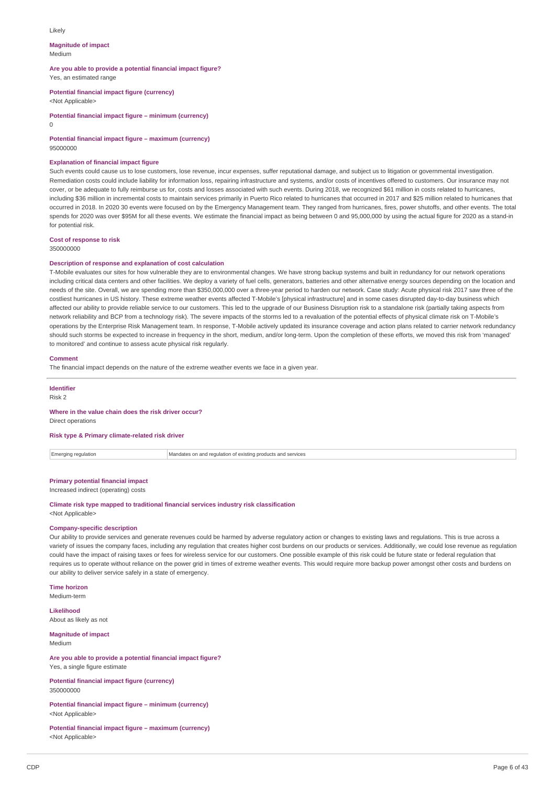#### Likely

#### **Magnitude of impact** Medium

**Are you able to provide a potential financial impact figure?** Yes, an estimated range

**Potential financial impact figure (currency)**

<Not Applicable>

**Potential financial impact figure – minimum (currency)**

 $\cap$ 

**Potential financial impact figure – maximum (currency)** 95000000

#### **Explanation of financial impact figure**

Such events could cause us to lose customers, lose revenue, incur expenses, suffer reputational damage, and subject us to litigation or governmental investigation. Remediation costs could include liability for information loss, repairing infrastructure and systems, and/or costs of incentives offered to customers. Our insurance may not cover, or be adequate to fully reimburse us for, costs and losses associated with such events. During 2018, we recognized \$61 million in costs related to hurricanes, including \$36 million in incremental costs to maintain services primarily in Puerto Rico related to hurricanes that occurred in 2017 and \$25 million related to hurricanes that occurred in 2018. In 2020 30 events were focused on by the Emergency Management team. They ranged from hurricanes, fires, power shutoffs, and other events. The total spends for 2020 was over \$95M for all these events. We estimate the financial impact as being between 0 and 95,000,000 by using the actual figure for 2020 as a stand-in for potential risk

### **Cost of response to risk**

350000000

#### **Description of response and explanation of cost calculation**

T-Mobile evaluates our sites for how vulnerable they are to environmental changes. We have strong backup systems and built in redundancy for our network operations including critical data centers and other facilities. We deploy a variety of fuel cells, generators, batteries and other alternative energy sources depending on the location and needs of the site. Overall, we are spending more than \$350,000,000 over a three-year period to harden our network. Case study: Acute physical risk 2017 saw three of the costliest hurricanes in US history. These extreme weather events affected T-Mobile's [physical infrastructure] and in some cases disrupted day-to-day business which affected our ability to provide reliable service to our customers. This led to the upgrade of our Business Disruption risk to a standalone risk (partially taking aspects from network reliability and BCP from a technology risk). The severe impacts of the storms led to a revaluation of the potential effects of physical climate risk on T-Mobile's operations by the Enterprise Risk Management team. In response, T-Mobile actively updated its insurance coverage and action plans related to carrier network redundancy should such storms be expected to increase in frequency in the short, medium, and/or long-term. Upon the completion of these efforts, we moved this risk from 'managed to monitored' and continue to assess acute physical risk regularly.

#### **Comment**

The financial impact depends on the nature of the extreme weather events we face in a given year.

**Identifier**

Risk 2

#### **Where in the value chain does the risk driver occur?**

Direct operations

#### **Risk type & Primary climate-related risk driver**

 $\boxed{\color{red}\blacksquare}$  Emerging regulation  $\boxed{\color{red}\blacksquare}$  Mandates on and regulation of existing products and services

### **Primary potential financial impact**

Increased indirect (operating) costs

### **Climate risk type mapped to traditional financial services industry risk classification**

<Not Applicable>

#### **Company-specific description**

Our ability to provide services and generate revenues could be harmed by adverse regulatory action or changes to existing laws and regulations. This is true across a variety of issues the company faces, including any regulation that creates higher cost burdens on our products or services. Additionally, we could lose revenue as regulation could have the impact of raising taxes or fees for wireless service for our customers. One possible example of this risk could be future state or federal regulation that requires us to operate without reliance on the power grid in times of extreme weather events. This would require more backup power amongst other costs and burdens on our ability to deliver service safely in a state of emergency.

**Time horizon**

Medium-term

**Likelihood** About as likely as not

**Magnitude of impact** Medium

**Are you able to provide a potential financial impact figure?** Yes, a single figure estimate

**Potential financial impact figure (currency)** 350000000

**Potential financial impact figure – minimum (currency)** <Not Applicable>

**Potential financial impact figure – maximum (currency)** <Not Applicable>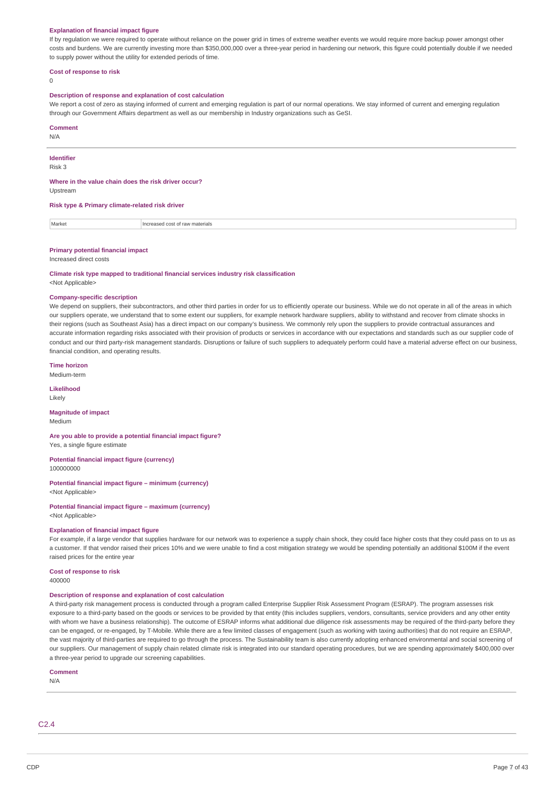#### **Explanation of financial impact figure**

If by regulation we were required to operate without reliance on the power grid in times of extreme weather events we would require more backup power amongst other costs and burdens. We are currently investing more than \$350,000,000 over a three-year period in hardening our network, this figure could potentially double if we needed to supply power without the utility for extended periods of time.

#### **Cost of response to risk**

 $\theta$ 

#### **Description of response and explanation of cost calculation**

We report a cost of zero as staying informed of current and emerging regulation is part of our normal operations. We stay informed of current and emerging regulation through our Government Affairs department as well as our membership in Industry organizations such as GeSI.

#### **Comment**

N/A

### **Identifier**

Risk 3

#### **Where in the value chain does the risk driver occur?**

Upstream

#### **Risk type & Primary climate-related risk driver**

Market Increased cost of raw materials

#### **Primary potential financial impact**

#### Increased direct costs

**Climate risk type mapped to traditional financial services industry risk classification**

<Not Applicable>

#### **Company-specific description**

We depend on suppliers, their subcontractors, and other third parties in order for us to efficiently operate our business. While we do not operate in all of the areas in which our suppliers operate, we understand that to some extent our suppliers, for example network hardware suppliers, ability to withstand and recover from climate shocks in their regions (such as Southeast Asia) has a direct impact on our company's business. We commonly rely upon the suppliers to provide contractual assurances and accurate information regarding risks associated with their provision of products or services in accordance with our expectations and standards such as our supplier code of conduct and our third party-risk management standards. Disruptions or failure of such suppliers to adequately perform could have a material adverse effect on our business, financial condition, and operating results.

### **Time horizon**

Medium-term

#### **Likelihood**

Likely

#### **Magnitude of impact** Medium

#### **Are you able to provide a potential financial impact figure?**

Yes, a single figure estimate

#### **Potential financial impact figure (currency)** 100000000

**Potential financial impact figure – minimum (currency)** <Not Applicable>

### **Potential financial impact figure – maximum (currency)** <Not Applicable>

#### **Explanation of financial impact figure**

For example, if a large vendor that supplies hardware for our network was to experience a supply chain shock, they could face higher costs that they could pass on to us as a customer. If that vendor raised their prices 10% and we were unable to find a cost mitigation strategy we would be spending potentially an additional \$100M if the event raised prices for the entire year

#### **Cost of response to risk** 400000

#### **Description of response and explanation of cost calculation**

A third-party risk management process is conducted through a program called Enterprise Supplier Risk Assessment Program (ESRAP). The program assesses risk exposure to a third-party based on the goods or services to be provided by that entity (this includes suppliers, vendors, consultants, service providers and any other entity with whom we have a business relationship). The outcome of ESRAP informs what additional due diligence risk assessments may be required of the third-party before they can be engaged, or re-engaged, by T-Mobile. While there are a few limited classes of engagement (such as working with taxing authorities) that do not require an ESRAP, the vast majority of third-parties are required to go through the process. The Sustainability team is also currently adopting enhanced environmental and social screening of our suppliers. Our management of supply chain related climate risk is integrated into our standard operating procedures, but we are spending approximately \$400,000 over a three-year period to upgrade our screening capabilities.

### **Comment**

N/A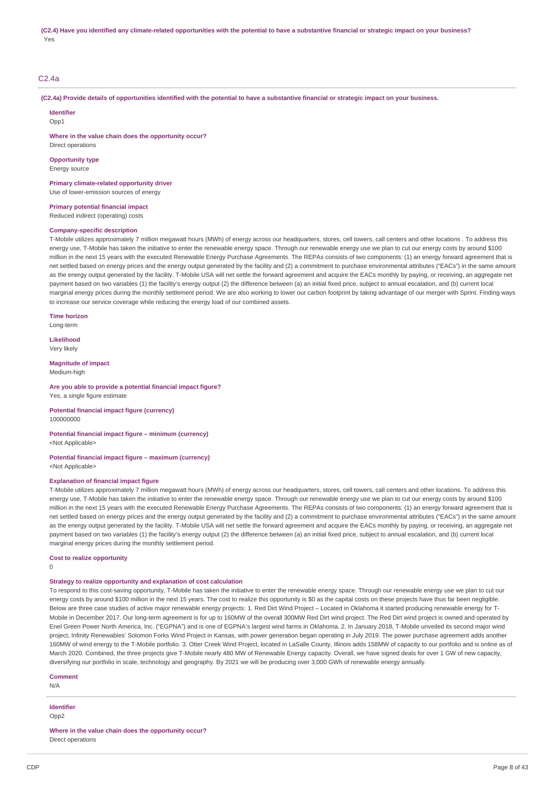### C2.4a

(C2.4a) Provide details of opportunities identified with the potential to have a substantive financial or strategic impact on your business.

**Identifier**  $Onn1$ 

**Where in the value chain does the opportunity occur?**

Direct operations **Opportunity type**

Energy source

**Primary climate-related opportunity driver** Use of lower-emission sources of energy

**Primary potential financial impact**

Reduced indirect (operating) costs

### **Company-specific description**

T-Mobile utilizes approximately 7 million megawatt hours (MWh) of energy across our headquarters, stores, cell towers, call centers and other locations . To address this energy use, T-Mobile has taken the initiative to enter the renewable energy space. Through our renewable energy use we plan to cut our energy costs by around \$100 million in the next 15 years with the executed Renewable Energy Purchase Agreements. The REPAs consists of two components: (1) an energy forward agreement that is net settled based on energy prices and the energy output generated by the facility and (2) a commitment to purchase environmental attributes ("EACs") in the same amount as the energy output generated by the facility. T-Mobile USA will net settle the forward agreement and acquire the EACs monthly by paying, or receiving, an aggregate net payment based on two variables (1) the facility's energy output (2) the difference between (a) an initial fixed price, subject to annual escalation, and (b) current local marginal energy prices during the monthly settlement period. We are also working to lower our carbon footprint by taking advantage of our merger with Sprint. Finding ways to increase our service coverage while reducing the energy load of our combined assets.

**Time horizon** Long-term

**Likelihood** Very likely

**Magnitude of impact** Medium-high

### **Are you able to provide a potential financial impact figure?**

Yes, a single figure estimate

**Potential financial impact figure (currency)** 100000000

**Potential financial impact figure – minimum (currency)** <Not Applicable>

### **Potential financial impact figure – maximum (currency)** <Not Applicable>

#### **Explanation of financial impact figure**

T-Mobile utilizes approximately 7 million megawatt hours (MWh) of energy across our headquarters, stores, cell towers, call centers and other locations. To address this energy use, T-Mobile has taken the initiative to enter the renewable energy space. Through our renewable energy use we plan to cut our energy costs by around \$100 million in the next 15 years with the executed Renewable Energy Purchase Agreements. The REPAs consists of two components: (1) an energy forward agreement that is net settled based on energy prices and the energy output generated by the facility and (2) a commitment to purchase environmental attributes ("EACs") in the same amount as the energy output generated by the facility. T-Mobile USA will net settle the forward agreement and acquire the EACs monthly by paying, or receiving, an aggregate net payment based on two variables (1) the facility's energy output (2) the difference between (a) an initial fixed price, subject to annual escalation, and (b) current local marginal energy prices during the monthly settlement period.

**Cost to realize opportunity**

 $\Omega$ 

#### **Strategy to realize opportunity and explanation of cost calculation**

To respond to this cost-saving opportunity, T-Mobile has taken the initiative to enter the renewable energy space. Through our renewable energy use we plan to cut our energy costs by around \$100 million in the next 15 years. The cost to realize this opportunity is \$0 as the capital costs on these projects have thus far been negligible. Below are three case studies of active major renewable energy projects: 1. Red Dirt Wind Project – Located in Oklahoma it started producing renewable energy for T-Mobile in December 2017. Our long-term agreement is for up to 160MW of the overall 300MW Red Dirt wind project. The Red Dirt wind project is owned and operated by Enel Green Power North America, Inc. ("EGPNA") and is one of EGPNA's largest wind farms in Oklahoma. 2. In January 2018, T-Mobile unveiled its second major wind project, Infinity Renewables' Solomon Forks Wind Project in Kansas, with power generation began operating in July 2019. The power purchase agreement adds another 160MW of wind energy to the T-Mobile portfolio. 3. Otter Creek Wind Project, located in LaSalle County, Illinois adds 158MW of capacity to our portfolio and is online as of March 2020. Combined, the three projects give T-Mobile nearly 480 MW of Renewable Energy capacity. Overall, we have signed deals for over 1 GW of new capacity, diversifying our portfolio in scale, technology and geography. By 2021 we will be producing over 3,000 GWh of renewable energy annually.

#### **Comment**

N/A

**Identifier**

Opp<sub>2</sub>

**Where in the value chain does the opportunity occur?** Direct operations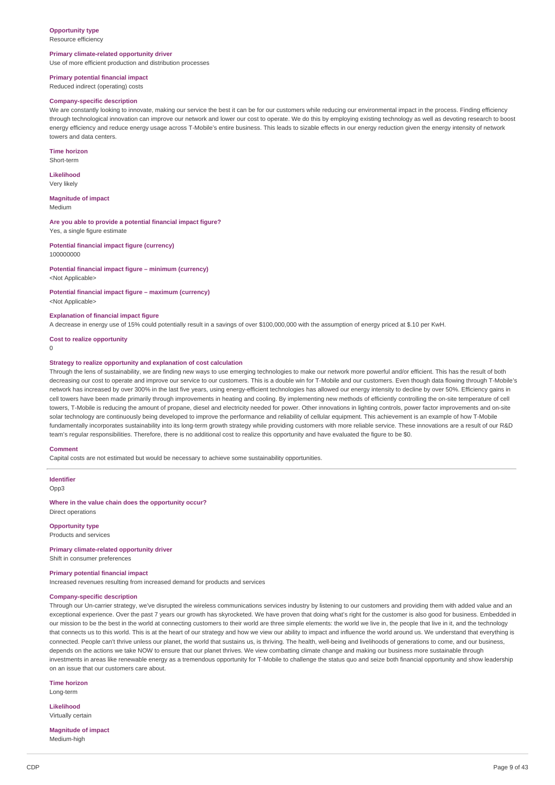### **Opportunity type**

Resource efficiency

### **Primary climate-related opportunity driver**

Use of more efficient production and distribution processes

### **Primary potential financial impact**

Reduced indirect (operating) costs

#### **Company-specific description**

We are constantly looking to innovate, making our service the best it can be for our customers while reducing our environmental impact in the process. Finding efficiency through technological innovation can improve our network and lower our cost to operate. We do this by employing existing technology as well as devoting research to boost energy efficiency and reduce energy usage across T-Mobile's entire business. This leads to sizable effects in our energy reduction given the energy intensity of network towers and data centers.

**Time horizon** Short-term

**Likelihood**

Very likely

**Magnitude of impact** Medium

**Are you able to provide a potential financial impact figure?** Yes, a single figure estimate

**Potential financial impact figure (currency)** 100000000

**Potential financial impact figure – minimum (currency)** <Not Applicable>

**Potential financial impact figure – maximum (currency)** <Not Applicable>

#### **Explanation of financial impact figure**

A decrease in energy use of 15% could potentially result in a savings of over \$100,000,000 with the assumption of energy priced at \$.10 per KwH.

**Cost to realize opportunity**

#### 0

#### **Strategy to realize opportunity and explanation of cost calculation**

Through the lens of sustainability, we are finding new ways to use emerging technologies to make our network more powerful and/or efficient. This has the result of both decreasing our cost to operate and improve our service to our customers. This is a double win for T-Mobile and our customers. Even though data flowing through T-Mobile's network has increased by over 300% in the last five years, using energy-efficient technologies has allowed our energy intensity to decline by over 50%. Efficiency gains in cell towers have been made primarily through improvements in heating and cooling. By implementing new methods of efficiently controlling the on-site temperature of cell towers, T-Mobile is reducing the amount of propane, diesel and electricity needed for power. Other innovations in lighting controls, power factor improvements and on-site solar technology are continuously being developed to improve the performance and reliability of cellular equipment. This achievement is an example of how T-Mobile fundamentally incorporates sustainability into its long-term growth strategy while providing customers with more reliable service. These innovations are a result of our R&D team's regular responsibilities. Therefore, there is no additional cost to realize this opportunity and have evaluated the figure to be \$0.

#### **Comment**

Capital costs are not estimated but would be necessary to achieve some sustainability opportunities.

**Identifier** Opp3

**Where in the value chain does the opportunity occur?** Direct operations

**Opportunity type** Products and services

**Primary climate-related opportunity driver** Shift in consumer preferences

#### **Primary potential financial impact**

Increased revenues resulting from increased demand for products and services

### **Company-specific description**

Through our Un-carrier strategy, we've disrupted the wireless communications services industry by listening to our customers and providing them with added value and an exceptional experience. Over the past 7 years our growth has skyrocketed. We have proven that doing what's right for the customer is also good for business. Embedded in our mission to be the best in the world at connecting customers to their world are three simple elements: the world we live in, the people that live in it, and the technology that connects us to this world. This is at the heart of our strategy and how we view our ability to impact and influence the world around us. We understand that everything is connected. People can't thrive unless our planet, the world that sustains us, is thriving. The health, well-being and livelihoods of generations to come, and our business, depends on the actions we take NOW to ensure that our planet thrives. We view combatting climate change and making our business more sustainable through investments in areas like renewable energy as a tremendous opportunity for T-Mobile to challenge the status quo and seize both financial opportunity and show leadership on an issue that our customers care about.

**Time horizon**

Long-term

**Likelihood** Virtually certain

**Magnitude of impact** Medium-high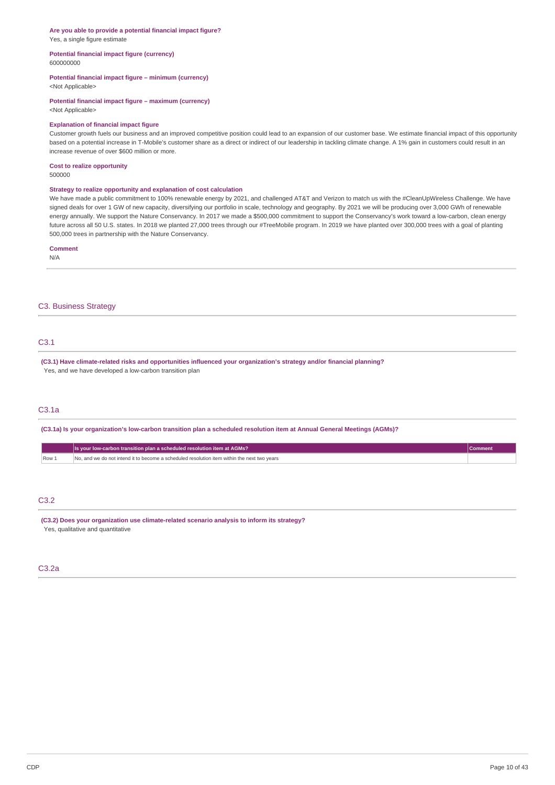#### **Are you able to provide a potential financial impact figure?** Yes, a single figure estimate

#### **Potential financial impact figure (currency)** 600000000

### **Potential financial impact figure – minimum (currency)**

<Not Applicable>

# **Potential financial impact figure – maximum (currency)**

<Not Applicable>

#### **Explanation of financial impact figure**

Customer growth fuels our business and an improved competitive position could lead to an expansion of our customer base. We estimate financial impact of this opportunity based on a potential increase in T-Mobile's customer share as a direct or indirect of our leadership in tackling climate change. A 1% gain in customers could result in an increase revenue of over \$600 million or more.

#### **Cost to realize opportunity** 500000

#### **Strategy to realize opportunity and explanation of cost calculation**

We have made a public commitment to 100% renewable energy by 2021, and challenged AT&T and Verizon to match us with the #CleanUpWireless Challenge. We have signed deals for over 1 GW of new capacity, diversifying our portfolio in scale, technology and geography. By 2021 we will be producing over 3,000 GWh of renewable energy annually. We support the Nature Conservancy. In 2017 we made a \$500,000 commitment to support the Conservancy's work toward a low-carbon, clean energy future across all 50 U.S. states. In 2018 we planted 27,000 trees through our #TreeMobile program. In 2019 we have planted over 300,000 trees with a goal of planting 500,000 trees in partnership with the Nature Conservancy.

### **Comment**

N/A

### C3. Business Strategy

# C3.1

**(C3.1) Have climate-related risks and opportunities influenced your organization's strategy and/or financial planning?** Yes, and we have developed a low-carbon transition plan

### C3.1a

(C3.1a) Is your organization's low-carbon transition plan a scheduled resolution item at Annual General Meetings (AGMs)?

|      | Music your low-carbon transition plan a scheduled resolution item at AGMs?                       | comment |
|------|--------------------------------------------------------------------------------------------------|---------|
| Row. | d we do not intend it to become a scheduled resolution item within the next two vears<br>No. and |         |

### C3.2

**(C3.2) Does your organization use climate-related scenario analysis to inform its strategy?** Yes, qualitative and quantitative

# C3.2a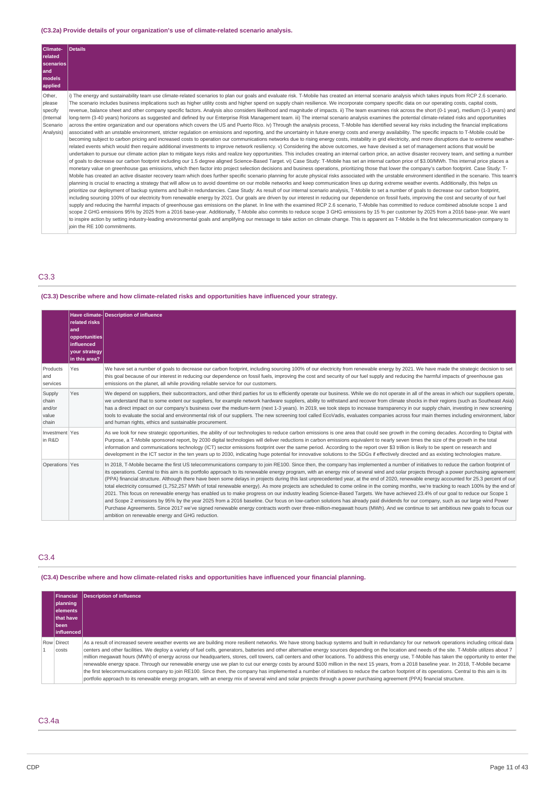### **(C3.2a) Provide details of your organization's use of climate-related scenario analysis.**

| Climate-<br>related<br>scenarios<br>and<br>models<br>applied              | Details                                                                                                                                                                                                                                                                                                                                                                                                                                                                                                                                                                                                                                                                                                                                                                                                                                                                                                                                                                                                                                                                                                                                                                                                                                                                                                                                                                                                                                                                                                                                                                                                                                                                                                                                                                                                                                                                                                                                                                                                                                                                                                                                                                                                                                                                                                                                                                                                                                                                                                                                                                                                                                                                                                                                                                                                                                                                                                                                                                                                                                                                                                                                                                                                                                                                                                                                                                                                                                                                                                                                                                                                                                                                                                                                                                |
|---------------------------------------------------------------------------|------------------------------------------------------------------------------------------------------------------------------------------------------------------------------------------------------------------------------------------------------------------------------------------------------------------------------------------------------------------------------------------------------------------------------------------------------------------------------------------------------------------------------------------------------------------------------------------------------------------------------------------------------------------------------------------------------------------------------------------------------------------------------------------------------------------------------------------------------------------------------------------------------------------------------------------------------------------------------------------------------------------------------------------------------------------------------------------------------------------------------------------------------------------------------------------------------------------------------------------------------------------------------------------------------------------------------------------------------------------------------------------------------------------------------------------------------------------------------------------------------------------------------------------------------------------------------------------------------------------------------------------------------------------------------------------------------------------------------------------------------------------------------------------------------------------------------------------------------------------------------------------------------------------------------------------------------------------------------------------------------------------------------------------------------------------------------------------------------------------------------------------------------------------------------------------------------------------------------------------------------------------------------------------------------------------------------------------------------------------------------------------------------------------------------------------------------------------------------------------------------------------------------------------------------------------------------------------------------------------------------------------------------------------------------------------------------------------------------------------------------------------------------------------------------------------------------------------------------------------------------------------------------------------------------------------------------------------------------------------------------------------------------------------------------------------------------------------------------------------------------------------------------------------------------------------------------------------------------------------------------------------------------------------------------------------------------------------------------------------------------------------------------------------------------------------------------------------------------------------------------------------------------------------------------------------------------------------------------------------------------------------------------------------------------------------------------------------------------------------------------------------------|
| Other,<br>please<br>specify<br><i>(Internal)</i><br>Scenario<br>Analysis) | i) The energy and sustainability team use climate-related scenarios to plan our goals and evaluate risk. T-Mobile has created an internal scenario analysis which takes inputs from RCP 2.6 scenario.<br>The scenario includes business implications such as higher utility costs and higher spend on supply chain resilience. We incorporate company specific data on our operating costs, capital costs,<br>revenue, balance sheet and other company specific factors. Analysis also considers likelihood and magnitude of impacts. ii) The team examines risk across the short (0-1 year), medium (1-3 years) and<br>long-term (3-40 years) horizons as suggested and defined by our Enterprise Risk Management team. iii) The internal scenario analysis examines the potential climate-related risks and opportunities<br>across the entire organization and our operations which covers the US and Puerto Rico. iv) Through the analysis process, T-Mobile has identified several key risks including the financial implications<br>associated with an unstable environment, stricter regulation on emissions and reporting, and the uncertainty in future energy costs and energy availability. The specific impacts to T-Mobile could be<br>becoming subject to carbon pricing and increased costs to operation our communications networks due to rising energy costs, instability in grid electricity, and more disruptions due to extreme weather-<br>related events which would then require additional investments to improve network resiliency. v) Considering the above outcomes, we have devised a set of management actions that would be<br>undertaken to pursue our climate action plan to mitigate keys risks and realize key opportunities. This includes creating an internal carbon price, an active disaster recovery team, and setting a number<br>of goals to decrease our carbon footprint including our 1.5 degree aligned Science-Based Target. vi) Case Study: T-Mobile has set an internal carbon price of \$3.00/MWh. This internal price places a<br>monetary value on greenhouse gas emissions, which then factor into project selection decisions and business operations, prioritizing those that lower the company's carbon footprint. Case Study: T-<br>Mobile has created an active disaster recovery team which does further specific scenario planning for acute physical risks associated with the unstable environment identified in the scenario. This team's<br>planning is crucial to enacting a strategy that will allow us to avoid downtime on our mobile networks and keep communication lines up during extreme weather events. Additionally, this helps us<br>prioritize our deployment of backup systems and built-in redundancies. Case Study: As result of our internal scenario analysis, T-Mobile to set a number of goals to decrease our carbon footprint,<br>including sourcing 100% of our electricity from renewable energy by 2021. Our goals are driven by our interest in reducing our dependence on fossil fuels, improving the cost and security of our fuel<br>supply and reducing the harmful impacts of greenhouse gas emissions on the planet. In line with the examined RCP 2.6 scenario, T-Mobile has committed to reduce combined absolute scope 1 and<br>scope 2 GHG emissions 95% by 2025 from a 2016 base-year. Additionally, T-Mobile also commits to reduce scope 3 GHG emissions by 15 % per customer by 2025 from a 2016 base-year. We want<br>to inspire action by setting industry-leading environmental goals and amplifying our message to take action on climate change. This is apparent as T-Mobile is the first telecommunication company to<br>ioin the RE 100 commitments. |

# C3.3

# **(C3.3) Describe where and how climate-related risks and opportunities have influenced your strategy.**

|                                             | related risks<br>land<br>opportunities<br><b>linfluenced</b><br>your strategy<br>$\ln$ this area? | Have climate-Description of influence                                                                                                                                                                                                                                                                                                                                                                                                                                                                                                                                                                                                                                                                                                                                                                                                                                                                                                                                                                                                                                                                                                                                                                                                                                                                                                                                    |
|---------------------------------------------|---------------------------------------------------------------------------------------------------|--------------------------------------------------------------------------------------------------------------------------------------------------------------------------------------------------------------------------------------------------------------------------------------------------------------------------------------------------------------------------------------------------------------------------------------------------------------------------------------------------------------------------------------------------------------------------------------------------------------------------------------------------------------------------------------------------------------------------------------------------------------------------------------------------------------------------------------------------------------------------------------------------------------------------------------------------------------------------------------------------------------------------------------------------------------------------------------------------------------------------------------------------------------------------------------------------------------------------------------------------------------------------------------------------------------------------------------------------------------------------|
| Products<br>and<br>services                 | Yes                                                                                               | We have set a number of goals to decrease our carbon footprint, including sourcing 100% of our electricity from renewable energy by 2021. We have made the strategic decision to set<br>this goal because of our interest in reducing our dependence on fossil fuels, improving the cost and security of our fuel supply and reducing the harmful impacts of greenhouse gas<br>emissions on the planet, all while providing reliable service for our customers.                                                                                                                                                                                                                                                                                                                                                                                                                                                                                                                                                                                                                                                                                                                                                                                                                                                                                                          |
| Supply<br>chain<br>and/or<br>value<br>chain | Yes                                                                                               | We depend on suppliers, their subcontractors, and other third parties for us to efficiently operate our business. While we do not operate in all of the areas in which our suppliers operate,<br>we understand that to some extent our suppliers, for example network hardware suppliers, ability to withstand and recover from climate shocks in their regions (such as Southeast Asia)<br>has a direct impact on our company's business over the medium-term (next 1-3 years). In 2019, we took steps to increase transparency in our supply chain, investing in new screening<br>tools to evaluate the social and environmental risk of our suppliers. The new screening tool called EcoVadis, evaluates companies across four main themes including environment, labor<br>and human rights, ethics and sustainable procurement.                                                                                                                                                                                                                                                                                                                                                                                                                                                                                                                                      |
| Investment Yes<br>in R&D                    |                                                                                                   | As we look for new strategic opportunities, the ability of our technologies to reduce carbon emissions is one area that could see growth in the coming decades. According to Digital with<br>Purpose, a T-Mobile sponsored report, by 2030 digital technologies will deliver reductions in carbon emissions equivalent to nearly seven times the size of the growth in the total<br>information and communications technology (ICT) sector emissions footprint over the same period. According to the report over \$3 trillion is likely to be spent on research and<br>development in the ICT sector in the ten years up to 2030, indicating huge potential for innovative solutions to the SDGs if effectively directed and as existing technologies mature.                                                                                                                                                                                                                                                                                                                                                                                                                                                                                                                                                                                                           |
| Operations Yes                              |                                                                                                   | In 2018, T-Mobile became the first US telecommunications company to join RE100. Since then, the company has implemented a number of initiatives to reduce the carbon footprint of<br>its operations. Central to this aim is its portfolio approach to its renewable energy program, with an energy mix of several wind and solar projects through a power purchasing agreement<br>(PPA) financial structure. Although there have been some delays in projects during this last unprecedented year, at the end of 2020, renewable energy accounted for 25.3 percent of our<br>total electricity consumed (1,752,257 MWh of total renewable energy). As more projects are scheduled to come online in the coming months, we're tracking to reach 100% by the end of<br>2021. This focus on renewable energy has enabled us to make progress on our industry leading Science-Based Targets. We have achieved 23.4% of our goal to reduce our Scope 1<br>and Scope 2 emissions by 95% by the year 2025 from a 2016 baseline. Our focus on low-carbon solutions has already paid dividends for our company, such as our large wind Power<br>Purchase Agreements. Since 2017 we've signed renewable energy contracts worth over three-million-megawatt hours (MWh). And we continue to set ambitious new goals to focus our<br>ambition on renewable energy and GHG reduction. |

# C3.4

# **(C3.4) Describe where and how climate-related risks and opportunities have influenced your financial planning.**

| <b>Financial</b><br>planning<br>lelements<br><b>Ithat have</b><br><b>Ibeen</b><br>influenced | Description of influence                                                                                                                                                                                                                                                                                                                                                                                                                                                                                                                                                                                                                                                                                                                                                                                                                                                                                                                                                                                                                                                                                                                                                                        |
|----------------------------------------------------------------------------------------------|-------------------------------------------------------------------------------------------------------------------------------------------------------------------------------------------------------------------------------------------------------------------------------------------------------------------------------------------------------------------------------------------------------------------------------------------------------------------------------------------------------------------------------------------------------------------------------------------------------------------------------------------------------------------------------------------------------------------------------------------------------------------------------------------------------------------------------------------------------------------------------------------------------------------------------------------------------------------------------------------------------------------------------------------------------------------------------------------------------------------------------------------------------------------------------------------------|
| Row Direct<br>costs                                                                          | As a result of increased severe weather events we are building more resilient networks. We have strong backup systems and built in redundancy for our network operations including critical data<br>centers and other facilities. We deploy a variety of fuel cells, generators, batteries and other alternative energy sources depending on the location and needs of the site. T-Mobile utilizes about 7<br>million megawatt hours (MWh) of energy across our headquarters, stores, cell towers, call centers and other locations. To address this energy use, T-Mobile has taken the opportunity to enter the<br>renewable energy space. Through our renewable energy use we plan to cut our energy costs by around \$100 million in the next 15 years, from a 2018 baseline year. In 2018, T-Mobile became<br>the first telecommunications company to join RE100. Since then, the company has implemented a number of initiatives to reduce the carbon footprint of its operations. Central to this aim is its<br>portfolio approach to its renewable energy program, with an energy mix of several wind and solar projects through a power purchasing agreement (PPA) financial structure. |

C3.4a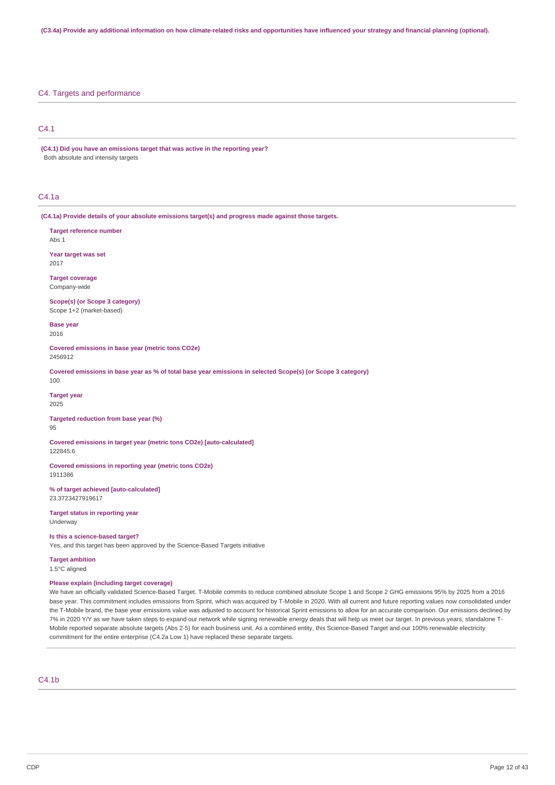### C4. Targets and performance

### C4.1

**(C4.1) Did you have an emissions target that was active in the reporting year?** Both absolute and intensity targets

### C4.1a

**(C4.1a) Provide details of your absolute emissions target(s) and progress made against those targets.**

**Target reference number** Abs 1

**Year target was set** 2017

**Target coverage** Company-wide

**Scope(s) (or Scope 3 category)** Scope 1+2 (market-based)

**Base year** 2016

**Covered emissions in base year (metric tons CO2e)** 2456912

Covered emissions in base year as % of total base year emissions in selected Scope(s) (or Scope 3 category) 100

**Target year** 2025

**Targeted reduction from base year (%)** 95

**Covered emissions in target year (metric tons CO2e) [auto-calculated]** 122845.6

**Covered emissions in reporting year (metric tons CO2e)** 1911386

**% of target achieved [auto-calculated]** 23.3723427919617

**Target status in reporting year** Underway

### **Is this a science-based target?**

Yes, and this target has been approved by the Science-Based Targets initiative

# **Target ambition**

1.5°C aligned

### **Please explain (including target coverage)**

We have an officially validated Science-Based Target. T-Mobile commits to reduce combined absolute Scope 1 and Scope 2 GHG emissions 95% by 2025 from a 2016 base year. This commitment includes emissions from Sprint, which was acquired by T-Mobile in 2020. With all current and future reporting values now consolidated under the T-Mobile brand, the base year emissions value was adjusted to account for historical Sprint emissions to allow for an accurate comparison. Our emissions declined by 7% in 2020 Y/Y as we have taken steps to expand our network while signing renewable energy deals that will help us meet our target. In previous years, standalone T-Mobile reported separate absolute targets (Abs 2-5) for each business unit. As a combined entity, this Science-Based Target and our 100% renewable electricity commitment for the entire enterprise (C4.2a Low 1) have replaced these separate targets.

### $C4.1<sub>b</sub>$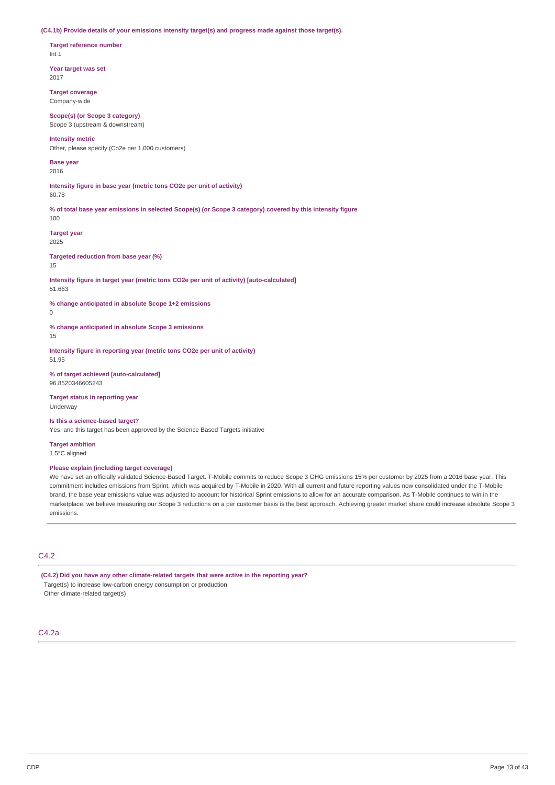**(C4.1b) Provide details of your emissions intensity target(s) and progress made against those target(s).**

**Target reference number** Int 1

**Year target was set** 2017

**Target coverage** Company-wide

**Scope(s) (or Scope 3 category)** Scope 3 (upstream & downstream)

### **Intensity metric**

Other, please specify (Co2e per 1,000 customers)

**Base year** 2016

**Intensity figure in base year (metric tons CO2e per unit of activity)** 60.78

% of total base year emissions in selected Scope(s) (or Scope 3 category) covered by this intensity figure 100

**Target year** 2025

**Targeted reduction from base year (%)**

15

**Intensity figure in target year (metric tons CO2e per unit of activity) [auto-calculated]** 51.663

**% change anticipated in absolute Scope 1+2 emissions**  $\theta$ 

**% change anticipated in absolute Scope 3 emissions**

15

**Intensity figure in reporting year (metric tons CO2e per unit of activity)** 51.95

**% of target achieved [auto-calculated]** 96.8520346605243

**Target status in reporting year** Underway

**Is this a science-based target?**

Yes, and this target has been approved by the Science Based Targets initiative

**Target ambition** 1.5°C aligned

### **Please explain (including target coverage)**

We have set an officially validated Science-Based Target. T-Mobile commits to reduce Scope 3 GHG emissions 15% per customer by 2025 from a 2016 base year. This commitment includes emissions from Sprint, which was acquired by T-Mobile in 2020. With all current and future reporting values now consolidated under the T-Mobile brand, the base year emissions value was adjusted to account for historical Sprint emissions to allow for an accurate comparison. As T-Mobile continues to win in the marketplace, we believe measuring our Scope 3 reductions on a per customer basis is the best approach. Achieving greater market share could increase absolute Scope 3 emissions.

# C4.2

**(C4.2) Did you have any other climate-related targets that were active in the reporting year?** Target(s) to increase low-carbon energy consumption or production Other climate-related target(s)

### C4.2a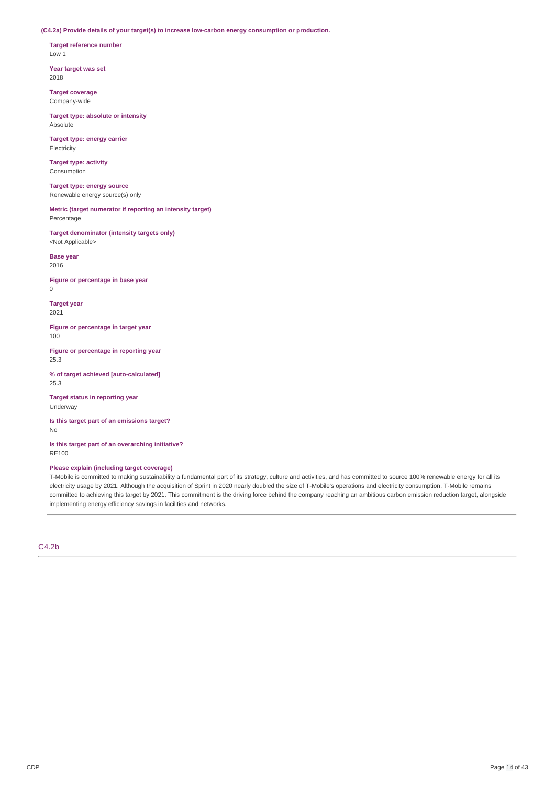**(C4.2a) Provide details of your target(s) to increase low-carbon energy consumption or production.**

**Target reference number** Low 1

**Year target was set** 2018

**Target coverage** Company-wide

**Target type: absolute or intensity** Absolute

**Target type: energy carrier** Electricity

**Target type: activity** Consumption

**Target type: energy source** Renewable energy source(s) only

**Metric (target numerator if reporting an intensity target)** Percentage

**Target denominator (intensity targets only)** <Not Applicable>

**Base year** 2016

**Figure or percentage in base year** 0

**Target year** 2021

**Figure or percentage in target year** 100

**Figure or percentage in reporting year** 25.3

**% of target achieved [auto-calculated]** 25.3

**Target status in reporting year** Underway

**Is this target part of an emissions target?** No

**Is this target part of an overarching initiative?** RE100

### **Please explain (including target coverage)**

T-Mobile is committed to making sustainability a fundamental part of its strategy, culture and activities, and has committed to source 100% renewable energy for all its electricity usage by 2021. Although the acquisition of Sprint in 2020 nearly doubled the size of T-Mobile's operations and electricity consumption, T-Mobile remains committed to achieving this target by 2021. This commitment is the driving force behind the company reaching an ambitious carbon emission reduction target, alongside implementing energy efficiency savings in facilities and networks.

C4.2b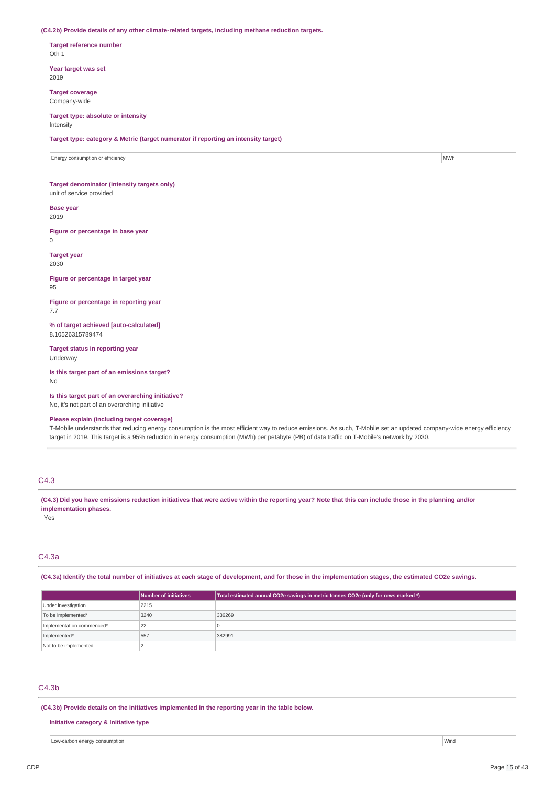#### **(C4.2b) Provide details of any other climate-related targets, including methane reduction targets.**

**Target reference number** Oth 1

**Year target was set** 2019

**Target coverage** Company-wide

#### **Target type: absolute or intensity** Intensity

**Target type: category & Metric (target numerator if reporting an intensity target)**

Energy consumption or efficiency **MWh MWh Energy consumption** or efficiency **MWh** 

### **Target denominator (intensity targets only)** unit of service provided

**Base year**

2019

**Figure or percentage in base year**  $\theta$ 

**Target year** 2030

**Figure or percentage in target year** 95

**Figure or percentage in reporting year** 7.7

**% of target achieved [auto-calculated]** 8.10526315789474

**Target status in reporting year** Underway

**Is this target part of an emissions target?** No

**Is this target part of an overarching initiative?** No, it's not part of an overarching initiative

### **Please explain (including target coverage)**

T-Mobile understands that reducing energy consumption is the most efficient way to reduce emissions. As such, T-Mobile set an updated company-wide energy efficiency target in 2019. This target is a 95% reduction in energy consumption (MWh) per petabyte (PB) of data traffic on T-Mobile's network by 2030.

# C4.3

(C4.3) Did you have emissions reduction initiatives that were active within the reporting year? Note that this can include those in the planning and/or **implementation phases.**

Yes

### C4.3a

(C4.3a) Identify the total number of initiatives at each stage of development, and for those in the implementation stages, the estimated CO2e savings.

|                           | Number of initiatives | Total estimated annual CO2e savings in metric tonnes CO2e (only for rows marked *) |
|---------------------------|-----------------------|------------------------------------------------------------------------------------|
| Under investigation       | 2215                  |                                                                                    |
| To be implemented*        | 3240                  | 336269                                                                             |
| Implementation commenced* | 22                    |                                                                                    |
| Implemented*              | 557                   | 382991                                                                             |
| Not to be implemented     |                       |                                                                                    |

### C4.3b

**(C4.3b) Provide details on the initiatives implemented in the reporting year in the table below.**

### **Initiative category & Initiative type**

Low-carbon energy consumption Wind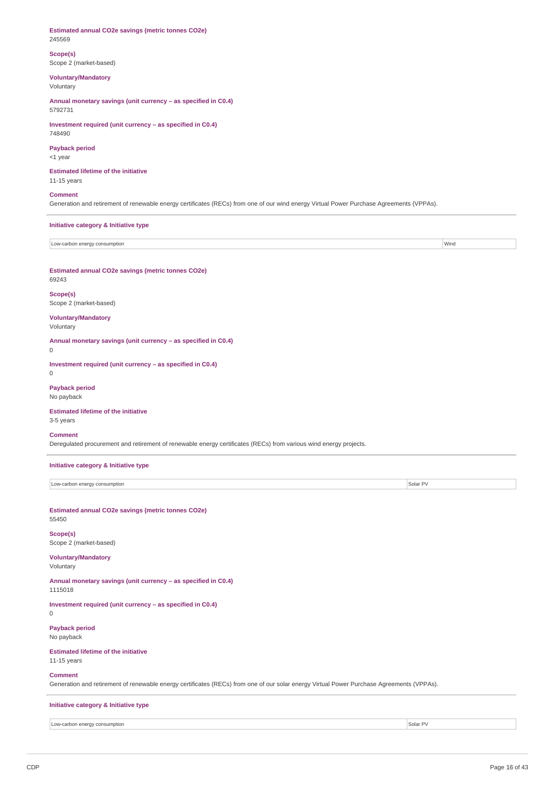#### **Estimated annual CO2e savings (metric tonnes CO2e)** 245569

### **Scope(s)** Scope 2 (market-based)

# **Voluntary/Mandatory**

Voluntary

**Annual monetary savings (unit currency – as specified in C0.4)** 5792731

### **Investment required (unit currency – as specified in C0.4)** 748490

# **Payback period**

<1 year

#### **Estimated lifetime of the initiative** 11-15 years

### **Comment**

Generation and retirement of renewable energy certificates (RECs) from one of our wind energy Virtual Power Purchase Agreements (VPPAs).

### **Initiative category & Initiative type**

Low-carbon energy consumption Wind

**Estimated annual CO2e savings (metric tonnes CO2e)** 69243

#### **Scope(s)** Scope 2 (market-based)

### **Voluntary/Mandatory** Voluntary

**Annual monetary savings (unit currency – as specified in C0.4)**

0

**Investment required (unit currency – as specified in C0.4)**  $\Omega$ 

### **Payback period** No payback

### **Estimated lifetime of the initiative**

3-5 years

### **Comment**

Deregulated procurement and retirement of renewable energy certificates (RECs) from various wind energy projects.

**Initiative category & Initiative type**

| Low-carbon energy consumption | Solar P\ |
|-------------------------------|----------|
|                               |          |

#### **Estimated annual CO2e savings (metric tonnes CO2e)** 55450

**Scope(s)** Scope 2 (market-based)

# **Voluntary/Mandatory**

Voluntary

#### **Annual monetary savings (unit currency – as specified in C0.4)** 1115018

**Investment required (unit currency – as specified in C0.4)**

#### $\theta$

**Payback period** No payback

# **Estimated lifetime of the initiative**

11-15 years

### **Comment**

Generation and retirement of renewable energy certificates (RECs) from one of our solar energy Virtual Power Purchase Agreements (VPPAs).

### **Initiative category & Initiative type**

Low-carbon energy consumption Solar PV and the United States of the United States of Solar PV and the United States of Solar PV and the United States of Solar PV and the United States of the United States of Solar PV and t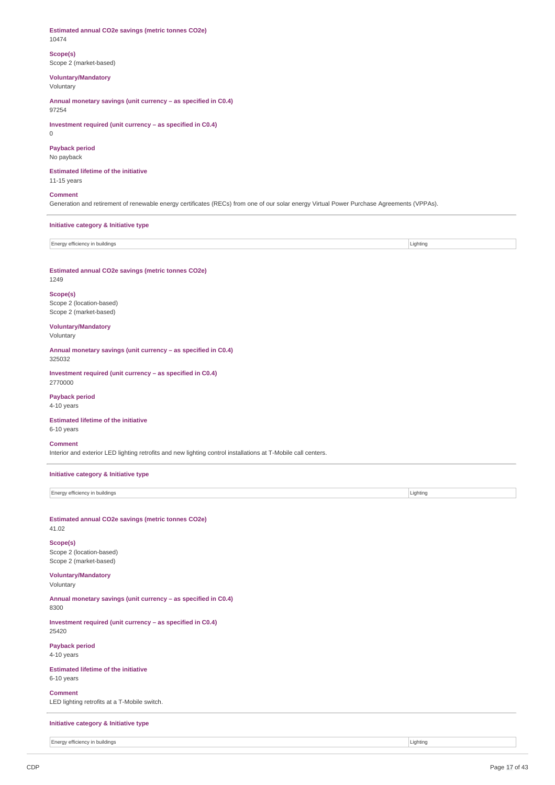**Estimated annual CO2e savings (metric tonnes CO2e)** 10474

**Scope(s)** Scope 2 (market-based)

**Voluntary/Mandatory**

Voluntary

**Annual monetary savings (unit currency – as specified in C0.4)** 97254

**Investment required (unit currency – as specified in C0.4)** 0

# **Payback period**

No payback

**Estimated lifetime of the initiative** 11-15 years

### **Comment**

Generation and retirement of renewable energy certificates (RECs) from one of our solar energy Virtual Power Purchase Agreements (VPPAs).

**Initiative category & Initiative type**

| Energy efficiency in buildings | Lighting |
|--------------------------------|----------|
|                                |          |

**Estimated annual CO2e savings (metric tonnes CO2e)** 1249

**Scope(s)** Scope 2 (location-based) Scope 2 (market-based)

**Voluntary/Mandatory** Voluntary

**Annual monetary savings (unit currency – as specified in C0.4)** 325032

**Investment required (unit currency – as specified in C0.4)** 2770000

#### **Payback period**  $4-10$  years

**Estimated lifetime of the initiative** 6-10 years

#### **Comment**

Interior and exterior LED lighting retrofits and new lighting control installations at T-Mobile call centers.

### **Initiative category & Initiative type**

Energy efficiency in buildings **Lighting** Lighting **Lighting** 

**Estimated annual CO2e savings (metric tonnes CO2e)** 41.02

### **Scope(s)** Scope 2 (location-based) Scope 2 (market-based)

# **Voluntary/Mandatory**

Voluntary

**Annual monetary savings (unit currency – as specified in C0.4)** 8300

**Investment required (unit currency – as specified in C0.4)** 25420

**Payback period** 4-10 years

**Estimated lifetime of the initiative** 6-10 years

**Comment** LED lighting retrofits at a T-Mobile switch.

### **Initiative category & Initiative type**

Energy efficiency in buildings **Lighting** Lighting **Lighting**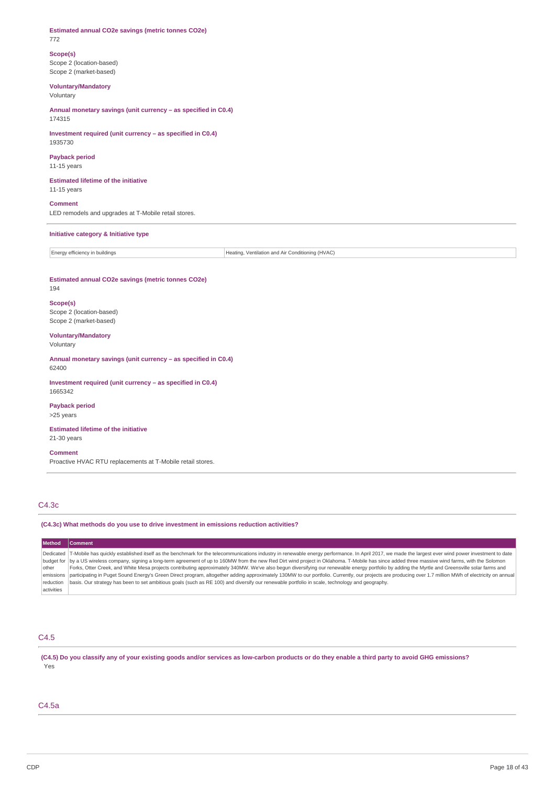#### **Estimated annual CO2e savings (metric tonnes CO2e)** 772

# **Scope(s)**

Scope 2 (location-based) Scope 2 (market-based)

# **Voluntary/Mandatory**

Voluntary

**Annual monetary savings (unit currency – as specified in C0.4)** 174315

**Investment required (unit currency – as specified in C0.4)** 1935730

# **Payback period**

11-15 years

# **Estimated lifetime of the initiative**

11-15 years

**Comment** LED remodels and upgrades at T-Mobile retail stores.

#### **Initiative category & Initiative type**

Energy efficiency in buildings  $\vert$  Energy efficiency in buildings

# **Estimated annual CO2e savings (metric tonnes CO2e)**

194

### **Scope(s)** Scope 2 (location-based) Scope 2 (market-based)

### **Voluntary/Mandatory**

Voluntary

**Annual monetary savings (unit currency – as specified in C0.4)** 62400

**Investment required (unit currency – as specified in C0.4)** 1665342

### **Payback period**

>25 years

#### **Estimated lifetime of the initiative** 21-30 years

**Comment**

Proactive HVAC RTU replacements at T-Mobile retail stores.

# C4.3c

### **(C4.3c) What methods do you use to drive investment in emissions reduction activities?**

#### **Method Comment** Dedicated budget for |by a US wireless company, signing a long-term agreement of up to 160MW from the new Red Dirt wind project in Oklahoma. T-Mobile has since added three massive wind farms, with the Solomon other emissions reduction activities T-Mobile has quickly established itself as the benchmark for the telecommunications industry in renewable energy performance. In April 2017, we made the largest ever wind power investment to date Forks, Otter Creek, and White Mesa projects contributing approximately 340MW. We've also begun diversifying our renewable energy portfolio by adding the Myrtle and Greensville solar farms and participating in Puget Sound Energy's Green Direct program, altogether adding approximately 130MW to our portfolio. Currently, our projects are producing over 1.7 million MWh of electricity on annual basis. Our strategy has been to set ambitious goals (such as RE 100) and diversify our renewable portfolio in scale, technology and geography.

# C4.5

(C4.5) Do you classify any of your existing goods and/or services as low-carbon products or do they enable a third party to avoid GHG emissions? Yes

### C4.5a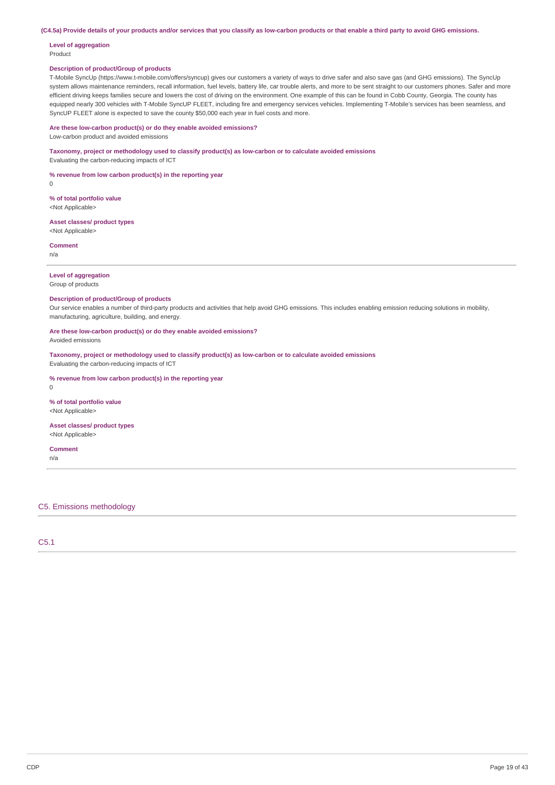(C4.5a) Provide details of your products and/or services that you classify as low-carbon products or that enable a third party to avoid GHG emissions.

#### **Level of aggregation** Product

### **Description of product/Group of products**

T-Mobile SyncUp (https://www.t-mobile.com/offers/syncup) gives our customers a variety of ways to drive safer and also save gas (and GHG emissions). The SyncUp system allows maintenance reminders, recall information, fuel levels, battery life, car trouble alerts, and more to be sent straight to our customers phones. Safer and more efficient driving keeps families secure and lowers the cost of driving on the environment. One example of this can be found in Cobb County, Georgia. The county has equipped nearly 300 vehicles with T-Mobile SyncUP FLEET, including fire and emergency services vehicles. Implementing T-Mobile's services has been seamless, and SyncUP FLEET alone is expected to save the county \$50,000 each year in fuel costs and more.

### **Are these low-carbon product(s) or do they enable avoided emissions?**

Low-carbon product and avoided emissions

### **Taxonomy, project or methodology used to classify product(s) as low-carbon or to calculate avoided emissions**

Evaluating the carbon-reducing impacts of ICT

**% revenue from low carbon product(s) in the reporting year**

0

**% of total portfolio value** <Not Applicable>

**Asset classes/ product types** -<br><Not Applicable>

**Comment** n/a

**Level of aggregation**

# Group of products

### **Description of product/Group of products**

Our service enables a number of third-party products and activities that help avoid GHG emissions. This includes enabling emission reducing solutions in mobility, manufacturing, agriculture, building, and energy.

**Are these low-carbon product(s) or do they enable avoided emissions?** Avoided emissions

**Taxonomy, project or methodology used to classify product(s) as low-carbon or to calculate avoided emissions** Evaluating the carbon-reducing impacts of ICT

**% revenue from low carbon product(s) in the reporting year**

 $\theta$ 

### **% of total portfolio value**

<Not Applicable>

#### **Asset classes/ product types** <Not Applicable>

**Comment** n/a

### C5. Emissions methodology

C5.1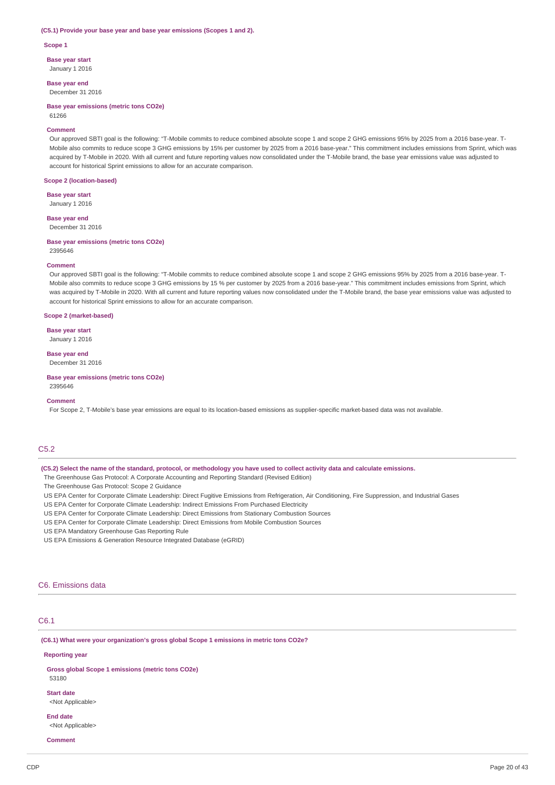#### **(C5.1) Provide your base year and base year emissions (Scopes 1 and 2).**

**Scope 1**

**Base year start**

January 1 2016

**Base year end** December 31 2016

**Base year emissions (metric tons CO2e)** 61266

#### **Comment**

Our approved SBTI goal is the following: "T-Mobile commits to reduce combined absolute scope 1 and scope 2 GHG emissions 95% by 2025 from a 2016 base-year. T-Mobile also commits to reduce scope 3 GHG emissions by 15% per customer by 2025 from a 2016 base-year." This commitment includes emissions from Sprint, which was acquired by T-Mobile in 2020. With all current and future reporting values now consolidated under the T-Mobile brand, the base year emissions value was adjusted to account for historical Sprint emissions to allow for an accurate comparison.

#### **Scope 2 (location-based)**

**Base year start** January 1 2016

**Base year end** December 31 2016

#### **Base year emissions (metric tons CO2e)**

2395646

#### **Comment**

Our approved SBTI goal is the following: "T-Mobile commits to reduce combined absolute scope 1 and scope 2 GHG emissions 95% by 2025 from a 2016 base-year. T-Mobile also commits to reduce scope 3 GHG emissions by 15 % per customer by 2025 from a 2016 base-year." This commitment includes emissions from Sprint, which was acquired by T-Mobile in 2020. With all current and future reporting values now consolidated under the T-Mobile brand, the base year emissions value was adjusted to account for historical Sprint emissions to allow for an accurate comparison.

#### **Scope 2 (market-based)**

**Base year start**

January 1 2016

# **Base year end**

December 31 2016

**Base year emissions (metric tons CO2e)**

2395646

### **Comment**

For Scope 2, T-Mobile's base year emissions are equal to its location-based emissions as supplier-specific market-based data was not available.

# C5.2

(C5.2) Select the name of the standard, protocol, or methodology you have used to collect activity data and calculate emissions.

The Greenhouse Gas Protocol: A Corporate Accounting and Reporting Standard (Revised Edition)

The Greenhouse Gas Protocol: Scope 2 Guidance

US EPA Center for Corporate Climate Leadership: Direct Fugitive Emissions from Refrigeration, Air Conditioning, Fire Suppression, and Industrial Gases

US EPA Center for Corporate Climate Leadership: Indirect Emissions From Purchased Electricity

- US EPA Center for Corporate Climate Leadership: Direct Emissions from Stationary Combustion Sources
- US EPA Center for Corporate Climate Leadership: Direct Emissions from Mobile Combustion Sources

US EPA Mandatory Greenhouse Gas Reporting Rule

US EPA Emissions & Generation Resource Integrated Database (eGRID)

### C6. Emissions data

### C6.1

**(C6.1) What were your organization's gross global Scope 1 emissions in metric tons CO2e?**

#### **Reporting year**

**Gross global Scope 1 emissions (metric tons CO2e)** 53180

**Start date** <Not Applicable>

**End date** <Not Applicable>

**Comment**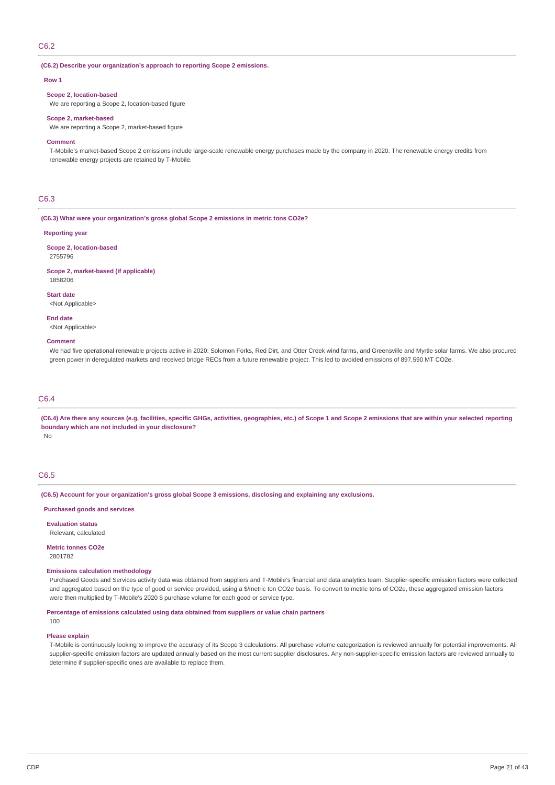### C6.2

#### **(C6.2) Describe your organization's approach to reporting Scope 2 emissions.**

#### **Row 1**

#### **Scope 2, location-based**

We are reporting a Scope 2, location-based figure

#### **Scope 2, market-based**

We are reporting a Scope 2, market-based figure

#### **Comment**

T-Mobile's market-based Scope 2 emissions include large-scale renewable energy purchases made by the company in 2020. The renewable energy credits from renewable energy projects are retained by T-Mobile.

# C6.3

**(C6.3) What were your organization's gross global Scope 2 emissions in metric tons CO2e?**

#### **Reporting year**

**Scope 2, location-based** 2755796

**Scope 2, market-based (if applicable)** 1858206

**Start date**

<Not Applicable>

<Not Applicable>

#### **Comment**

**End date**

We had five operational renewable projects active in 2020: Solomon Forks, Red Dirt, and Otter Creek wind farms, and Greensville and Myrtle solar farms. We also procured green power in deregulated markets and received bridge RECs from a future renewable project. This led to avoided emissions of 897,590 MT CO2e.

### C6.4

(C6.4) Are there any sources (e.g. facilities, specific GHGs, activities, geographies, etc.) of Scope 1 and Scope 2 emissions that are within your selected reporting **boundary which are not included in your disclosure?**

No

# C6.5

**(C6.5) Account for your organization's gross global Scope 3 emissions, disclosing and explaining any exclusions.**

### **Purchased goods and services**

**Evaluation status**

Relevant, calculated

#### **Metric tonnes CO2e** 2801782

### **Emissions calculation methodology**

Purchased Goods and Services activity data was obtained from suppliers and T-Mobile's financial and data analytics team. Supplier-specific emission factors were collected and aggregated based on the type of good or service provided, using a \$/metric ton CO2e basis. To convert to metric tons of CO2e, these aggregated emission factors were then multiplied by T-Mobile's 2020 \$ purchase volume for each good or service type.

**Percentage of emissions calculated using data obtained from suppliers or value chain partners**

# 100

### **Please explain**

T-Mobile is continuously looking to improve the accuracy of its Scope 3 calculations. All purchase volume categorization is reviewed annually for potential improvements. All supplier-specific emission factors are updated annually based on the most current supplier disclosures. Any non-supplier-specific emission factors are reviewed annually to determine if supplier-specific ones are available to replace them.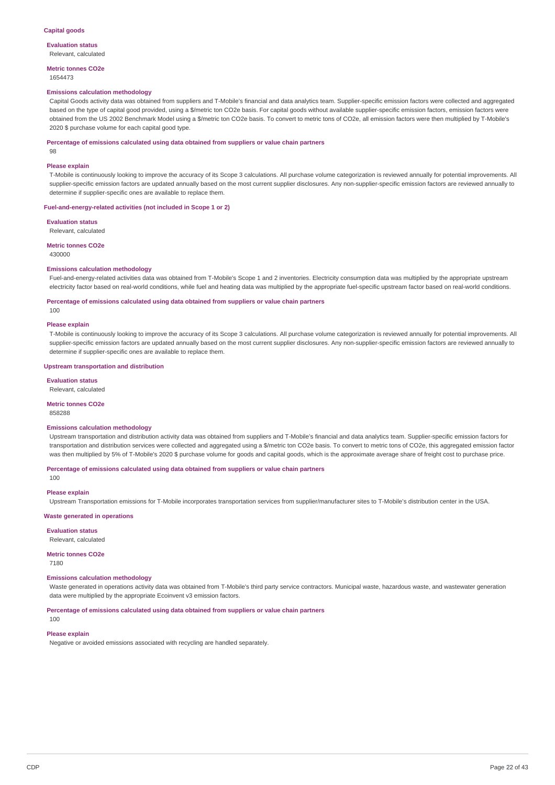**Evaluation status** Relevant, calculated

**Metric tonnes CO2e** 1654473

#### **Emissions calculation methodology**

Capital Goods activity data was obtained from suppliers and T-Mobile's financial and data analytics team. Supplier-specific emission factors were collected and aggregated based on the type of capital good provided, using a \$/metric ton CO2e basis. For capital goods without available supplier-specific emission factors, emission factors were obtained from the US 2002 Benchmark Model using a \$/metric ton CO2e basis. To convert to metric tons of CO2e, all emission factors were then multiplied by T-Mobile's 2020 \$ purchase volume for each capital good type.

#### **Percentage of emissions calculated using data obtained from suppliers or value chain partners**

98

#### **Please explain**

T-Mobile is continuously looking to improve the accuracy of its Scope 3 calculations. All purchase volume categorization is reviewed annually for potential improvements. All supplier-specific emission factors are updated annually based on the most current supplier disclosures. Any non-supplier-specific emission factors are reviewed annually to determine if supplier-specific ones are available to replace them.

#### **Fuel-and-energy-related activities (not included in Scope 1 or 2)**

**Evaluation status** Relevant, calculated

**Metric tonnes CO2e** 430000

### **Emissions calculation methodology**

Fuel-and-energy-related activities data was obtained from T-Mobile's Scope 1 and 2 inventories. Electricity consumption data was multiplied by the appropriate upstream electricity factor based on real-world conditions, while fuel and heating data was multiplied by the appropriate fuel-specific upstream factor based on real-world conditions.

**Percentage of emissions calculated using data obtained from suppliers or value chain partners**

100

### **Please explain**

T-Mobile is continuously looking to improve the accuracy of its Scope 3 calculations. All purchase volume categorization is reviewed annually for potential improvements. All supplier-specific emission factors are updated annually based on the most current supplier disclosures. Any non-supplier-specific emission factors are reviewed annually to determine if supplier-specific ones are available to replace them.

#### **Upstream transportation and distribution**

**Evaluation status** Relevant, calculated

#### **Metric tonnes CO2e**

858288

#### **Emissions calculation methodology**

Upstream transportation and distribution activity data was obtained from suppliers and T-Mobile's financial and data analytics team. Supplier-specific emission factors for transportation and distribution services were collected and aggregated using a \$/metric ton CO2e basis. To convert to metric tons of CO2e, this aggregated emission factor was then multiplied by 5% of T-Mobile's 2020 \$ purchase volume for goods and capital goods, which is the approximate average share of freight cost to purchase price.

**Percentage of emissions calculated using data obtained from suppliers or value chain partners**

100

#### **Please explain**

Upstream Transportation emissions for T-Mobile incorporates transportation services from supplier/manufacturer sites to T-Mobile's distribution center in the USA.

#### **Waste generated in operations**

**Evaluation status**

Relevant, calculated

# **Metric tonnes CO2e**

7180

### **Emissions calculation methodology**

Waste generated in operations activity data was obtained from T-Mobile's third party service contractors. Municipal waste, hazardous waste, and wastewater generation data were multiplied by the appropriate Ecoinvent v3 emission factors.

**Percentage of emissions calculated using data obtained from suppliers or value chain partners**

# 100 **Please explain**

Negative or avoided emissions associated with recycling are handled separately.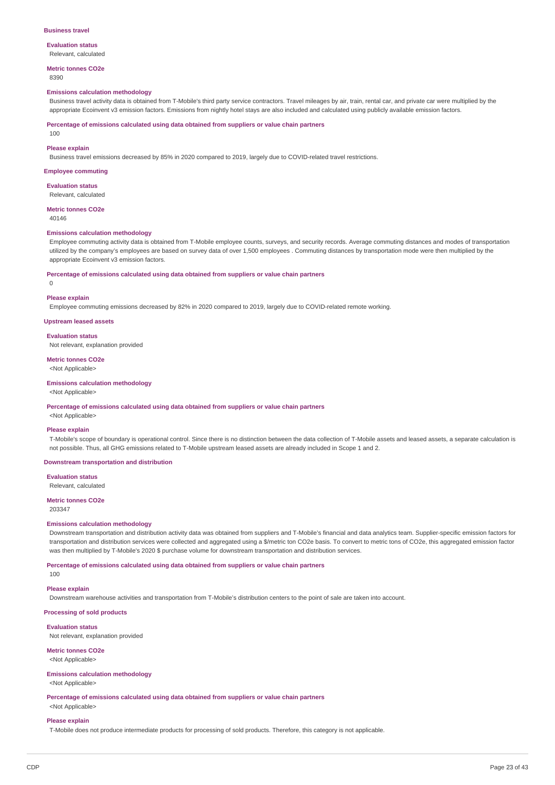#### **Business travel**

#### **Evaluation status**

Relevant, calculated

#### **Metric tonnes CO2e** 8390

### **Emissions calculation methodology**

Business travel activity data is obtained from T-Mobile's third party service contractors. Travel mileages by air, train, rental car, and private car were multiplied by the appropriate Ecoinvent v3 emission factors. Emissions from nightly hotel stays are also included and calculated using publicly available emission factors

**Percentage of emissions calculated using data obtained from suppliers or value chain partners**

100

#### **Please explain**

Business travel emissions decreased by 85% in 2020 compared to 2019, largely due to COVID-related travel restrictions.

### **Employee commuting**

**Evaluation status**

Relevant, calculated

**Metric tonnes CO2e**

40146

### **Emissions calculation methodology**

Employee commuting activity data is obtained from T-Mobile employee counts, surveys, and security records. Average commuting distances and modes of transportation utilized by the company's employees are based on survey data of over 1,500 employees . Commuting distances by transportation mode were then multiplied by the appropriate Ecoinvent v3 emission factors.

#### **Percentage of emissions calculated using data obtained from suppliers or value chain partners**

 $\Omega$ 

#### **Please explain**

Employee commuting emissions decreased by 82% in 2020 compared to 2019, largely due to COVID-related remote working.

**Upstream leased assets**

#### **Evaluation status**

Not relevant, explanation provided

# **Metric tonnes CO2e**

<Not Applicable>

# **Emissions calculation methodology**

### <Not Applicable>

**Percentage of emissions calculated using data obtained from suppliers or value chain partners**

<Not Applicable>

#### **Please explain**

T-Mobile's scope of boundary is operational control. Since there is no distinction between the data collection of T-Mobile assets and leased assets, a separate calculation is not possible. Thus, all GHG emissions related to T-Mobile upstream leased assets are already included in Scope 1 and 2.

#### **Downstream transportation and distribution**

**Evaluation status**

Relevant, calculated

# **Metric tonnes CO2e**

203347

#### **Emissions calculation methodology**

Downstream transportation and distribution activity data was obtained from suppliers and T-Mobile's financial and data analytics team. Supplier-specific emission factors for transportation and distribution services were collected and aggregated using a \$/metric ton CO2e basis. To convert to metric tons of CO2e, this aggregated emission factor was then multiplied by T-Mobile's 2020 \$ purchase volume for downstream transportation and distribution services.

**Percentage of emissions calculated using data obtained from suppliers or value chain partners**

100

#### **Please explain**

Downstream warehouse activities and transportation from T-Mobile's distribution centers to the point of sale are taken into account.

**Processing of sold products**

### **Evaluation status**

Not relevant, explanation provided

# **Metric tonnes CO2e**

<Not Applicable>

# **Emissions calculation methodology**

<Not Applicable>

**Percentage of emissions calculated using data obtained from suppliers or value chain partners** <Not Applicable>

#### **Please explain**

T-Mobile does not produce intermediate products for processing of sold products. Therefore, this category is not applicable.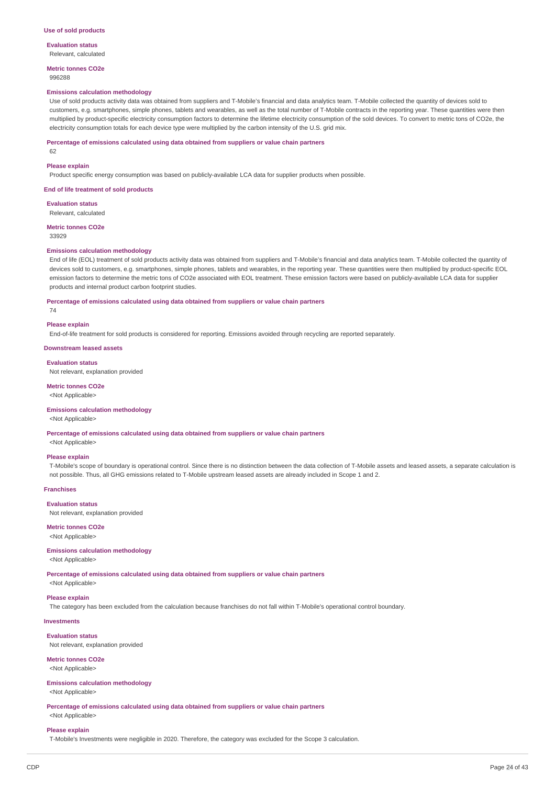#### **Use of sold products**

**Evaluation status**

Relevant, calculated

**Metric tonnes CO2e** 996288

#### **Emissions calculation methodology**

Use of sold products activity data was obtained from suppliers and T-Mobile's financial and data analytics team. T-Mobile collected the quantity of devices sold to customers, e.g. smartphones, simple phones, tablets and wearables, as well as the total number of T-Mobile contracts in the reporting year. These quantities were then multiplied by product-specific electricity consumption factors to determine the lifetime electricity consumption of the sold devices. To convert to metric tons of CO2e, the electricity consumption totals for each device type were multiplied by the carbon intensity of the U.S. grid mix.

#### **Percentage of emissions calculated using data obtained from suppliers or value chain partners**

62

#### **Please explain**

Product specific energy consumption was based on publicly-available LCA data for supplier products when possible.

#### **End of life treatment of sold products**

**Evaluation status** Relevant, calculated

#### **Metric tonnes CO2e** 33929

### **Emissions calculation methodology**

End of life (EOL) treatment of sold products activity data was obtained from suppliers and T-Mobile's financial and data analytics team. T-Mobile collected the quantity of devices sold to customers, e.g. smartphones, simple phones, tablets and wearables, in the reporting year. These quantities were then multiplied by product-specific EOL emission factors to determine the metric tons of CO2e associated with EOL treatment. These emission factors were based on publicly-available LCA data for supplier products and internal product carbon footprint studies.

#### **Percentage of emissions calculated using data obtained from suppliers or value chain partners**

74

#### **Please explain**

End-of-life treatment for sold products is considered for reporting. Emissions avoided through recycling are reported separately.

#### **Downstream leased assets**

#### **Evaluation status**

Not relevant, explanation provided

#### **Metric tonnes CO2e**

<Not Applicable>

#### **Emissions calculation methodology**

<Not Applicable>

**Percentage of emissions calculated using data obtained from suppliers or value chain partners**

<Not Applicable>

### **Please explain**

T-Mobile's scope of boundary is operational control. Since there is no distinction between the data collection of T-Mobile assets and leased assets, a separate calculation is not possible. Thus, all GHG emissions related to T-Mobile upstream leased assets are already included in Scope 1 and 2.

### **Franchises**

**Evaluation status** Not relevant, explanation provided

#### **Metric tonnes CO2e**

<Not Applicable>

#### **Emissions calculation methodology**

<Not Applicable>

**Percentage of emissions calculated using data obtained from suppliers or value chain partners**

# <Not Applicable> **Please explain**

The category has been excluded from the calculation because franchises do not fall within T-Mobile's operational control boundary.

### **Investments**

**Evaluation status** Not relevant, explanation provided

# **Metric tonnes CO2e**

<Not Applicable>

### **Emissions calculation methodology**

<Not Applicable>

### **Percentage of emissions calculated using data obtained from suppliers or value chain partners**

# <Not Applicable> **Please explain**

T-Mobile's Investments were negligible in 2020. Therefore, the category was excluded for the Scope 3 calculation.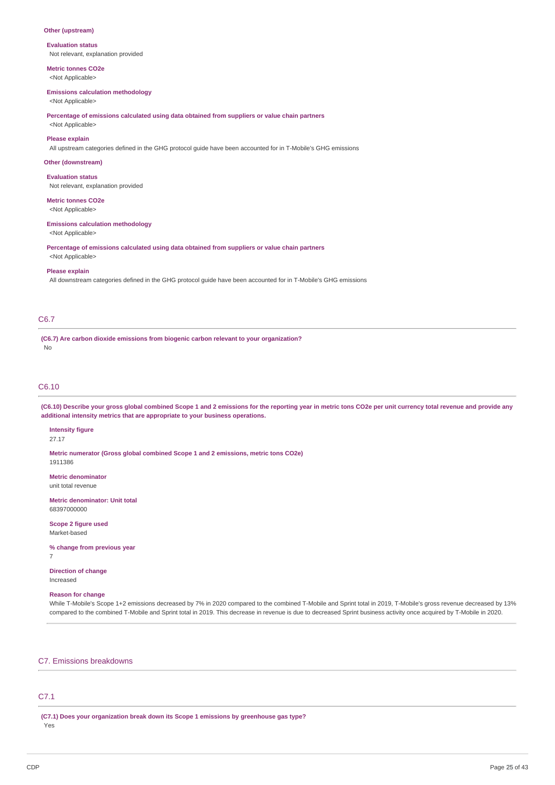### **Other (upstream)**

**Evaluation status** Not relevant, explanation provided

**Metric tonnes CO2e**

<Not Applicable>

### **Emissions calculation methodology**

<Not Applicable>

**Percentage of emissions calculated using data obtained from suppliers or value chain partners**

<Not Applicable>

# **Please explain**

All upstream categories defined in the GHG protocol guide have been accounted for in T-Mobile's GHG emissions

### **Other (downstream)**

**Evaluation status** Not relevant, explanation provided

### **Metric tonnes CO2e**

<Not Applicable>

#### **Emissions calculation methodology**

<Not Applicable>

**Percentage of emissions calculated using data obtained from suppliers or value chain partners** <Not Applicable>

#### **Please explain**

All downstream categories defined in the GHG protocol guide have been accounted for in T-Mobile's GHG emissions

### C6.7

**(C6.7) Are carbon dioxide emissions from biogenic carbon relevant to your organization?** No

### C6.10

(C6.10) Describe your gross global combined Scope 1 and 2 emissions for the reporting year in metric tons CO2e per unit currency total revenue and provide any **additional intensity metrics that are appropriate to your business operations.**

### **Intensity figure**

27.17

**Metric numerator (Gross global combined Scope 1 and 2 emissions, metric tons CO2e)** 1911386

**Metric denominator** unit total revenue

**Metric denominator: Unit total** 68397000000

**Scope 2 figure used** Market-based

**% change from previous year** 7

**Direction of change** Increased

### **Reason for change**

While T-Mobile's Scope 1+2 emissions decreased by 7% in 2020 compared to the combined T-Mobile and Sprint total in 2019, T-Mobile's gross revenue decreased by 13% compared to the combined T-Mobile and Sprint total in 2019. This decrease in revenue is due to decreased Sprint business activity once acquired by T-Mobile in 2020.

### C7. Emissions breakdowns

# C7.1

**(C7.1) Does your organization break down its Scope 1 emissions by greenhouse gas type?** Yes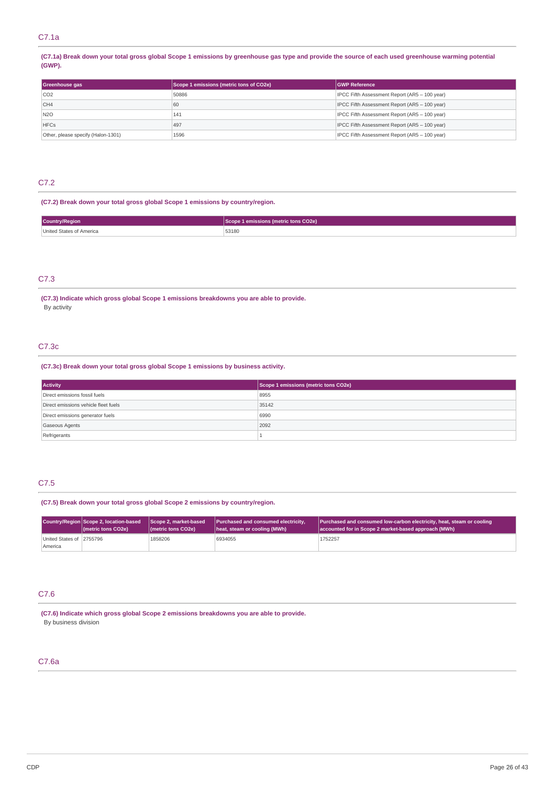(C7.1a) Break down your total gross global Scope 1 emissions by greenhouse gas type and provide the source of each used greenhouse warming potential **(GWP).**

| Greenhouse gas                     | Scope 1 emissions (metric tons of CO2e) | <b>GWP Reference</b>                          |  |
|------------------------------------|-----------------------------------------|-----------------------------------------------|--|
| CO <sub>2</sub>                    | 50886                                   | IPCC Fifth Assessment Report (AR5 - 100 year) |  |
| CH4                                | 60                                      | IPCC Fifth Assessment Report (AR5 - 100 year) |  |
| N <sub>20</sub>                    | 141                                     | IPCC Fifth Assessment Report (AR5 - 100 year) |  |
| <b>HFCs</b>                        | 497                                     | IPCC Fifth Assessment Report (AR5 - 100 year) |  |
| Other, please specify (Halon-1301) | 1596                                    | IPCC Fifth Assessment Report (AR5 - 100 year) |  |

# C7.2

### **(C7.2) Break down your total gross global Scope 1 emissions by country/region.**

| <b>Country/Region</b>    | Scope 1 emissions (metric tons CO2e) |
|--------------------------|--------------------------------------|
| United States of America | 53180<br>.                           |

### C7.3

**(C7.3) Indicate which gross global Scope 1 emissions breakdowns you are able to provide.** By activity

# C7.3c

### **(C7.3c) Break down your total gross global Scope 1 emissions by business activity.**

| <b>Activity</b>                      | Scope 1 emissions (metric tons CO2e) |
|--------------------------------------|--------------------------------------|
| Direct emissions fossil fuels        | 8955                                 |
| Direct emissions vehicle fleet fuels | 35142                                |
| Direct emissions generator fuels     | 6990                                 |
| <b>Gaseous Agents</b>                | 2092                                 |
| Refrigerants                         |                                      |

## C7.5

### **(C7.5) Break down your total gross global Scope 2 emissions by country/region.**

|                                     | Country/Region Scope 2, location-based | Scope 2, market-based                     | Purchased and consumed electricity, | Purchased and consumed low-carbon electricity, heat, steam or cooling |
|-------------------------------------|----------------------------------------|-------------------------------------------|-------------------------------------|-----------------------------------------------------------------------|
|                                     | (metric tons CO2e)                     | ( <i>I</i> metric tons CO <sub>2</sub> e) | heat, steam or cooling (MWh)        | accounted for in Scope 2 market-based approach (MWh)                  |
| United States of 2755796<br>America |                                        | 1858206                                   | 6934055                             | 1752257                                                               |

#### C7.6

**(C7.6) Indicate which gross global Scope 2 emissions breakdowns you are able to provide.** By business division

# C7.6a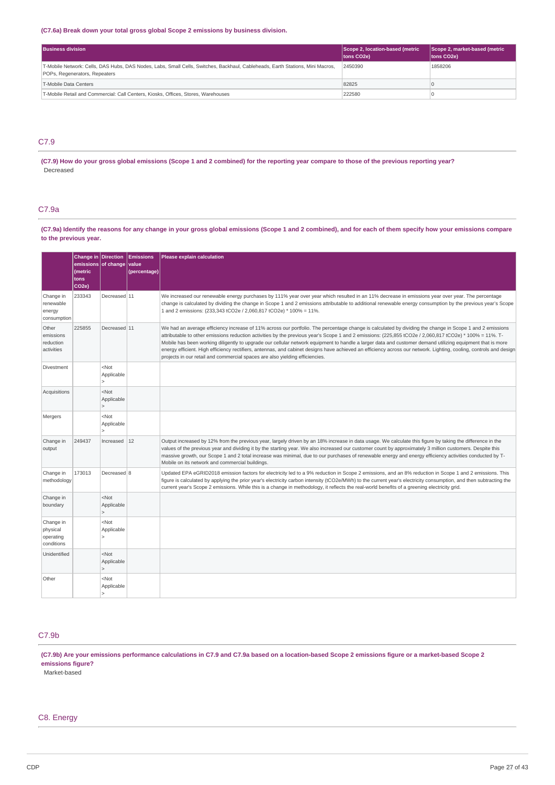### **(C7.6a) Break down your total gross global Scope 2 emissions by business division.**

| <b>Business division</b>                                                                                                                                       | Scope 2, location-based (metric<br>tons CO <sub>2</sub> e) | Scope 2, market-based (metric<br>tons CO2e) |
|----------------------------------------------------------------------------------------------------------------------------------------------------------------|------------------------------------------------------------|---------------------------------------------|
| T-Mobile Network: Cells, DAS Hubs, DAS Nodes, Labs, Small Cells, Switches, Backhaul, Cableheads, Earth Stations, Mini Macros,<br>POPs, Regenerators, Repeaters | 2450390                                                    | 1858206                                     |
| T-Mobile Data Centers                                                                                                                                          | 82825                                                      |                                             |
| T-Mobile Retail and Commercial: Call Centers, Kiosks, Offices, Stores, Warehouses                                                                              | 222580                                                     |                                             |

# C7.9

(C7.9) How do your gross global emissions (Scope 1 and 2 combined) for the reporting year compare to those of the previous reporting year? **Decreased** 

# C7.9a

(C7.9a) Identify the reasons for any change in your gross global emissions (Scope 1 and 2 combined), and for each of them specify how your emissions compare **to the previous year.**

|                                                  | Change in Direction<br>emissions of change<br>(metric<br>tons<br>CO <sub>2e</sub> ) |                                                         | <b>Emissions</b><br>value<br>(percentage) | Please explain calculation                                                                                                                                                                                                                                                                                                                                                                                                                                                                                                                                                                                                                                                                                                             |
|--------------------------------------------------|-------------------------------------------------------------------------------------|---------------------------------------------------------|-------------------------------------------|----------------------------------------------------------------------------------------------------------------------------------------------------------------------------------------------------------------------------------------------------------------------------------------------------------------------------------------------------------------------------------------------------------------------------------------------------------------------------------------------------------------------------------------------------------------------------------------------------------------------------------------------------------------------------------------------------------------------------------------|
| Change in<br>renewable<br>energy<br>consumption  | 233343                                                                              | Decreased 11                                            |                                           | We increased our renewable energy purchases by 111% year over year which resulted in an 11% decrease in emissions year over year. The percentage<br>change is calculated by dividing the change in Scope 1 and 2 emissions attributable to additional renewable energy consumption by the previous year's Scope<br>1 and 2 emissions: (233,343 tCO2e / 2,060,817 tCO2e) * 100% = 11%.                                                                                                                                                                                                                                                                                                                                                  |
| Other<br>emissions<br>reduction<br>activities    | 225855                                                                              | Decreased 11                                            |                                           | We had an average efficiency increase of 11% across our portfolio. The percentage change is calculated by dividing the change in Scope 1 and 2 emissions<br>attributable to other emissions reduction activities by the previous year's Scope 1 and 2 emissions: (225,855 tCO2e / 2,060,817 tCO2e) * 100% = 11%. T-<br>Mobile has been working diligently to upgrade our cellular network equipment to handle a larger data and customer demand utilizing equipment that is more<br>energy efficient. High efficiency rectifiers, antennas, and cabinet designs have achieved an efficiency across our network. Lighting, cooling, controls and design<br>projects in our retail and commercial spaces are also yielding efficiencies. |
| Divestment                                       |                                                                                     | $<$ Not<br>Applicable                                   |                                           |                                                                                                                                                                                                                                                                                                                                                                                                                                                                                                                                                                                                                                                                                                                                        |
| Acquisitions                                     |                                                                                     | $<$ Not<br>Applicable<br>$\mathbf{I}$                   |                                           |                                                                                                                                                                                                                                                                                                                                                                                                                                                                                                                                                                                                                                                                                                                                        |
| Mergers                                          |                                                                                     | $<$ Not<br>Applicable<br>$\geq$                         |                                           |                                                                                                                                                                                                                                                                                                                                                                                                                                                                                                                                                                                                                                                                                                                                        |
| Change in<br>output                              | 249437                                                                              | Increased $12$                                          |                                           | Output increased by 12% from the previous year, largely driven by an 18% increase in data usage. We calculate this figure by taking the difference in the<br>values of the previous year and dividing it by the starting year. We also increased our customer count by approximately 3 million customers. Despite this<br>massive growth, our Scope 1 and 2 total increase was minimal, due to our purchases of renewable energy and energy efficiency activities conducted by T-<br>Mobile on its network and commercial buildings.                                                                                                                                                                                                   |
| Change in<br>methodology                         | 173013                                                                              | Decreased 8                                             |                                           | Updated EPA eGRID2018 emission factors for electricity led to a 9% reduction in Scope 2 emissions, and an 8% reduction in Scope 1 and 2 emissions. This<br>figure is calculated by applying the prior year's electricity carbon intensity (tCO2e/MWh) to the current year's electricity consumption, and then subtracting the<br>current year's Scope 2 emissions. While this is a change in methodology, it reflects the real-world benefits of a greening electricity grid.                                                                                                                                                                                                                                                          |
| Change in<br>boundary                            |                                                                                     | <not<br>Applicable<br/><math>\mathbf{I}</math></not<br> |                                           |                                                                                                                                                                                                                                                                                                                                                                                                                                                                                                                                                                                                                                                                                                                                        |
| Change in<br>physical<br>operating<br>conditions |                                                                                     | $<$ Not<br>Applicable<br>$\mathbf{r}$                   |                                           |                                                                                                                                                                                                                                                                                                                                                                                                                                                                                                                                                                                                                                                                                                                                        |
| Unidentified                                     |                                                                                     | $<$ Not<br>Applicable<br>$\geq$                         |                                           |                                                                                                                                                                                                                                                                                                                                                                                                                                                                                                                                                                                                                                                                                                                                        |
| Other                                            |                                                                                     | $<$ Not<br>Applicable<br>$\Rightarrow$                  |                                           |                                                                                                                                                                                                                                                                                                                                                                                                                                                                                                                                                                                                                                                                                                                                        |

### C7.9b

(C7.9b) Are your emissions performance calculations in C7.9 and C7.9a based on a location-based Scope 2 emissions figure or a market-based Scope 2 **emissions figure?**

Market-based

### C8. Energy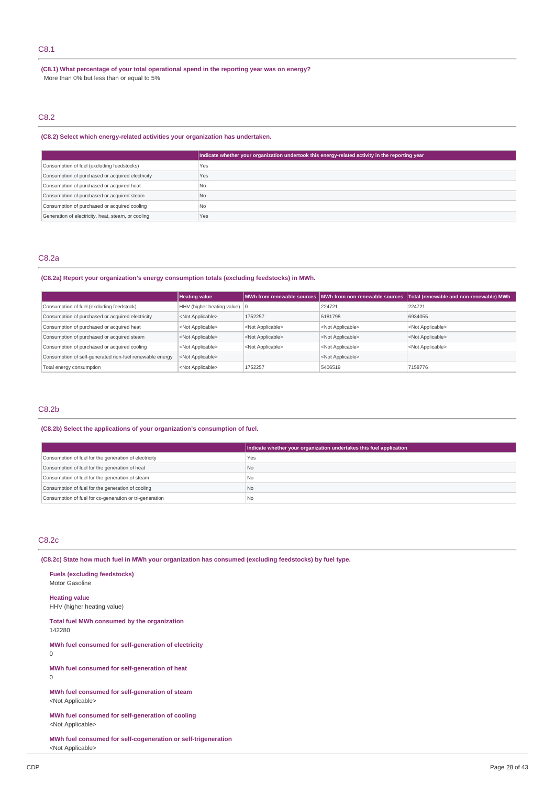# C8.1

**(C8.1) What percentage of your total operational spend in the reporting year was on energy?** More than 0% but less than or equal to 5%

# C8.2

### **(C8.2) Select which energy-related activities your organization has undertaken.**

|                                                    | Indicate whether your organization undertook this energy-related activity in the reporting year |
|----------------------------------------------------|-------------------------------------------------------------------------------------------------|
| Consumption of fuel (excluding feedstocks)         | Yes                                                                                             |
| Consumption of purchased or acquired electricity   | Yes                                                                                             |
| Consumption of purchased or acquired heat          | N <sub>0</sub>                                                                                  |
| Consumption of purchased or acquired steam         | N <sub>0</sub>                                                                                  |
| Consumption of purchased or acquired cooling       | <b>No</b>                                                                                       |
| Generation of electricity, heat, steam, or cooling | Yes                                                                                             |

### C8.2a

# **(C8.2a) Report your organization's energy consumption totals (excluding feedstocks) in MWh.**

|                                                         | <b>Heating value</b>                   |                           | MWh from renewable sources   MWh from non-renewable sources | Total (renewable and non-renewable) MWh |
|---------------------------------------------------------|----------------------------------------|---------------------------|-------------------------------------------------------------|-----------------------------------------|
| Consumption of fuel (excluding feedstock)               | HHV (higher heating value) $ 0\rangle$ |                           | 224721                                                      | 224721                                  |
| Consumption of purchased or acquired electricity        | <not applicable=""></not>              | 1752257                   | 5181798                                                     | 6934055                                 |
| Consumption of purchased or acquired heat               | <not applicable=""></not>              | <not applicable=""></not> | <not applicable=""></not>                                   | <not applicable=""></not>               |
| Consumption of purchased or acquired steam              | <not applicable=""></not>              | <not applicable=""></not> | <not applicable=""></not>                                   | <not applicable=""></not>               |
| Consumption of purchased or acquired cooling            | <not applicable=""></not>              | <not applicable=""></not> | <not applicable=""></not>                                   | <not applicable=""></not>               |
| Consumption of self-generated non-fuel renewable energy | <not applicable=""></not>              |                           | <not applicable=""></not>                                   |                                         |
| Total energy consumption                                | <not applicable=""></not>              | 1752257                   | 5406519                                                     | 7158776                                 |

# C8.2b

#### **(C8.2b) Select the applications of your organization's consumption of fuel.**

|                                                         | Indicate whether your organization undertakes this fuel application |
|---------------------------------------------------------|---------------------------------------------------------------------|
| Consumption of fuel for the generation of electricity   | Yes                                                                 |
| Consumption of fuel for the generation of heat          | No                                                                  |
| Consumption of fuel for the generation of steam         | No.                                                                 |
| Consumption of fuel for the generation of cooling       | l No                                                                |
| Consumption of fuel for co-generation or tri-generation | No                                                                  |

### C8.2c

**(C8.2c) State how much fuel in MWh your organization has consumed (excluding feedstocks) by fuel type.**

| <b>Fuels (excluding feedstocks)</b><br>Motor Gasoline                       |
|-----------------------------------------------------------------------------|
| <b>Heating value</b><br>HHV (higher heating value)                          |
| Total fuel MWh consumed by the organization<br>142280                       |
| MWh fuel consumed for self-generation of electricity<br>U                   |
| MWh fuel consumed for self-generation of heat<br>U                          |
| MWh fuel consumed for self-generation of steam<br><not applicable=""></not> |

**MWh fuel consumed for self-generation of cooling** <Not Applicable>

**MWh fuel consumed for self-cogeneration or self-trigeneration** <Not Applicable>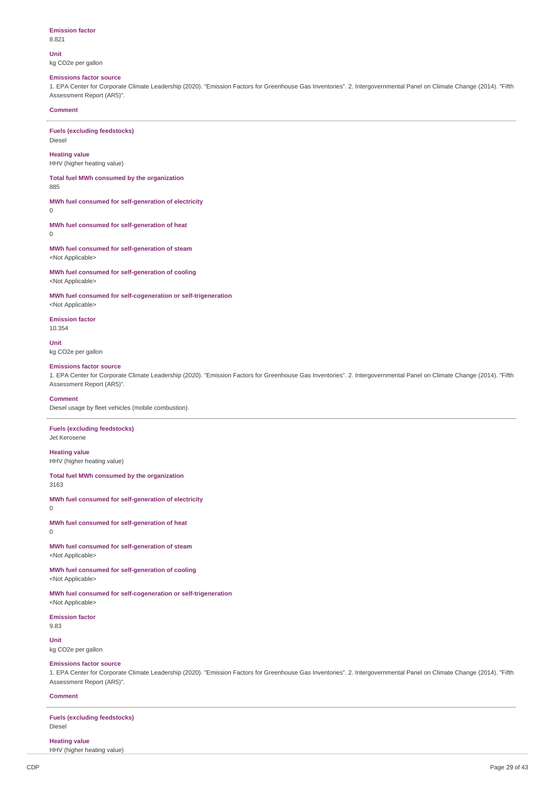#### **Emission factor** 8.821

**Unit**

kg CO2e per gallon

# **Emissions factor source**

1. EPA Center for Corporate Climate Leadership (2020). "Emission Factors for Greenhouse Gas Inventories". 2. Intergovernmental Panel on Climate Change (2014). "Fifth Assessment Report (AR5)".

### **Comment**

**Fuels (excluding feedstocks)** Diesel

**Heating value** HHV (higher heating value)

**Total fuel MWh consumed by the organization** 885

**MWh fuel consumed for self-generation of electricity** 0

**MWh fuel consumed for self-generation of heat**  $\Omega$ 

**MWh fuel consumed for self-generation of steam** <Not Applicable>

**MWh fuel consumed for self-generation of cooling** <Not Applicable>

**MWh fuel consumed for self-cogeneration or self-trigeneration**

<Not Applicable> **Emission factor**

10.354

**Unit** kg CO2e per gallon

#### **Emissions factor source**

1. EPA Center for Corporate Climate Leadership (2020). "Emission Factors for Greenhouse Gas Inventories". 2. Intergovernmental Panel on Climate Change (2014). "Fifth Assessment Report (AR5)".

#### **Comment**

Diesel usage by fleet vehicles (mobile combustion).

### **Fuels (excluding feedstocks)**

Jet Kerosene

**Heating value**

HHV (higher heating value)

# **Total fuel MWh consumed by the organization**

3163

**MWh fuel consumed for self-generation of electricity** 0

**MWh fuel consumed for self-generation of heat**  $\Omega$ 

**MWh fuel consumed for self-generation of steam** <Not Applicable>

**MWh fuel consumed for self-generation of cooling** <Not Applicable>

**MWh fuel consumed for self-cogeneration or self-trigeneration** <Not Applicable>

#### **Emission factor**

9.83

**Unit** kg CO2e per gallon

#### **Emissions factor source**

1. EPA Center for Corporate Climate Leadership (2020). "Emission Factors for Greenhouse Gas Inventories". 2. Intergovernmental Panel on Climate Change (2014). "Fifth Assessment Report (AR5)".

#### **Comment**

**Fuels (excluding feedstocks)** Diesel

#### **Heating value**

HHV (higher heating value)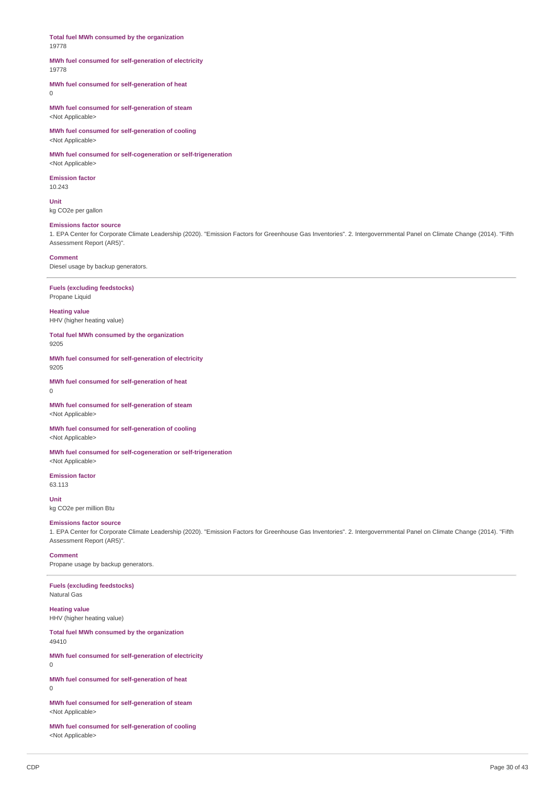**Total fuel MWh consumed by the organization** 19778

#### **MWh fuel consumed for self-generation of electricity** 19778

**MWh fuel consumed for self-generation of heat**  $\Omega$ 

**MWh fuel consumed for self-generation of steam** <Not Applicable>

**MWh fuel consumed for self-generation of cooling** <Not Applicable>

**MWh fuel consumed for self-cogeneration or self-trigeneration** <Not Applicable>

**Emission factor** 10.243

**Unit** kg CO2e per gallon

### **Emissions factor source**

1. EPA Center for Corporate Climate Leadership (2020). "Emission Factors for Greenhouse Gas Inventories". 2. Intergovernmental Panel on Climate Change (2014). "Fifth Assessment Report (AR5)".

#### **Comment**

Diesel usage by backup generators.

**Fuels (excluding feedstocks)** Propane Liquid

**Heating value** HHV (higher heating value)

**Total fuel MWh consumed by the organization** 9205

**MWh fuel consumed for self-generation of electricity** 9205

**MWh fuel consumed for self-generation of heat**  $\Omega$ 

**MWh fuel consumed for self-generation of steam** <Not Applicable>

**MWh fuel consumed for self-generation of cooling** <Not Applicable>

**MWh fuel consumed for self-cogeneration or self-trigeneration** <Not Applicable>

**Emission factor** 63.113

**Unit** kg CO2e per million Btu

#### **Emissions factor source**

1. EPA Center for Corporate Climate Leadership (2020). "Emission Factors for Greenhouse Gas Inventories". 2. Intergovernmental Panel on Climate Change (2014). "Fifth Assessment Report (AR5)".

**Comment**

Propane usage by backup generators.

**Fuels (excluding feedstocks)** Natural Gas

**Heating value** HHV (higher heating value)

**Total fuel MWh consumed by the organization** 49410

**MWh fuel consumed for self-generation of electricity**

0

**MWh fuel consumed for self-generation of heat** 0

**MWh fuel consumed for self-generation of steam** <Not Applicable>

**MWh fuel consumed for self-generation of cooling** <Not Applicable>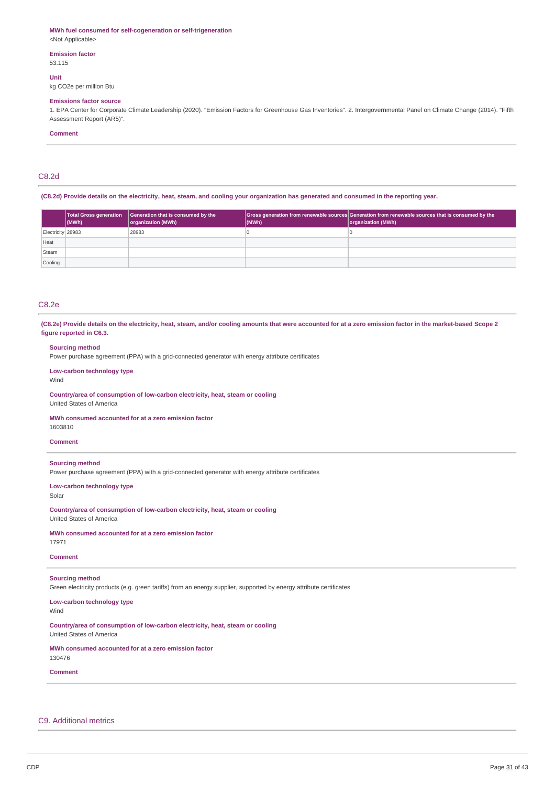#### **MWh fuel consumed for self-cogeneration or self-trigeneration**

<Not Applicable>

#### **Emission factor** 53.115

**Unit**

kg CO2e per million Btu

#### **Emissions factor source**

1. EPA Center for Corporate Climate Leadership (2020). "Emission Factors for Greenhouse Gas Inventories". 2. Intergovernmental Panel on Climate Change (2014). "Fifth Assessment Report (AR5)".

### **Comment**

### C8.2d

(C8.2d) Provide details on the electricity, heat, steam, and cooling your organization has generated and consumed in the reporting year.

|                   | $\vert$ (MWh) | Total Gross generation   Generation that is consumed by the<br>organization (MWh) | (MWh) | Gross generation from renewable sources Generation from renewable sources that is consumed by the<br>organization (MWh) |
|-------------------|---------------|-----------------------------------------------------------------------------------|-------|-------------------------------------------------------------------------------------------------------------------------|
| Electricity 28983 |               | 28983                                                                             | υ     |                                                                                                                         |
| Heat              |               |                                                                                   |       |                                                                                                                         |
| Steam             |               |                                                                                   |       |                                                                                                                         |
| Cooling           |               |                                                                                   |       |                                                                                                                         |

### C8.2e

(C8.2e) Provide details on the electricity, heat, steam, and/or cooling amounts that were accounted for at a zero emission factor in the market-based Scope 2 **figure reported in C6.3.**

#### **Sourcing method**

Power purchase agreement (PPA) with a grid-connected generator with energy attribute certificates

### **Low-carbon technology type**

Wind

**Country/area of consumption of low-carbon electricity, heat, steam or cooling** United States of America

#### **MWh consumed accounted for at a zero emission factor** 1603810

#### **Comment**

#### **Sourcing method**

Power purchase agreement (PPA) with a grid-connected generator with energy attribute certificates

**Low-carbon technology type** Solar

**Country/area of consumption of low-carbon electricity, heat, steam or cooling** United States of America

#### **MWh consumed accounted for at a zero emission factor** 17971

# **Comment**

# **Sourcing method**

Green electricity products (e.g. green tariffs) from an energy supplier, supported by energy attribute certificates

#### **Low-carbon technology type** Wind

**Country/area of consumption of low-carbon electricity, heat, steam or cooling** United States of America

## **MWh consumed accounted for at a zero emission factor**

130476

## **Comment**

# C9. Additional metrics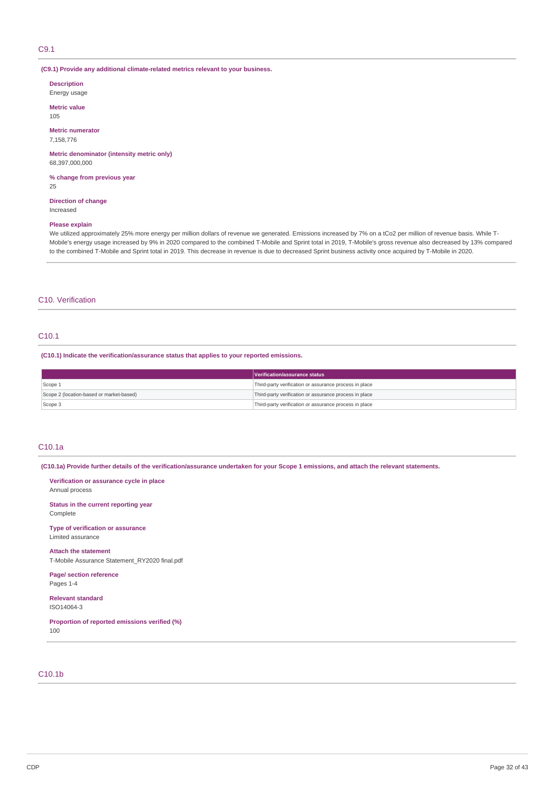### C9.1

### **(C9.1) Provide any additional climate-related metrics relevant to your business.**

**Description** Energy usage

**Metric value**

105

**Metric numerator** 7,158,776

**Metric denominator (intensity metric only)** 68,397,000,000

**% change from previous year**

25

**Direction of change** Increased

#### **Please explain**

We utilized approximately 25% more energy per million dollars of revenue we generated. Emissions increased by 7% on a tCo2 per million of revenue basis. While T-Mobile's energy usage increased by 9% in 2020 compared to the combined T-Mobile and Sprint total in 2019, T-Mobile's gross revenue also decreased by 13% compared to the combined T-Mobile and Sprint total in 2019. This decrease in revenue is due to decreased Sprint business activity once acquired by T-Mobile in 2020.

### C10. Verification

## C10.1

**(C10.1) Indicate the verification/assurance status that applies to your reported emissions.**

|                                          | Verification/assurance status                          |
|------------------------------------------|--------------------------------------------------------|
| Scope 1                                  | Third-party verification or assurance process in place |
| Scope 2 (location-based or market-based) | Third-party verification or assurance process in place |
| Scope 3                                  | Third-party verification or assurance process in place |

### C10.1a

(C10.1a) Provide further details of the verification/assurance undertaken for your Scope 1 emissions, and attach the relevant statements.

**Verification or assurance cycle in place** Annual process

**Status in the current reporting year** Complete

**Type of verification or assurance** Limited assurance

**Attach the statement** T-Mobile Assurance Statement\_RY2020 final.pdf

**Page/ section reference** Pages 1-4

**Relevant standard** ISO14064-3

**Proportion of reported emissions verified (%)** 100

### C10.1b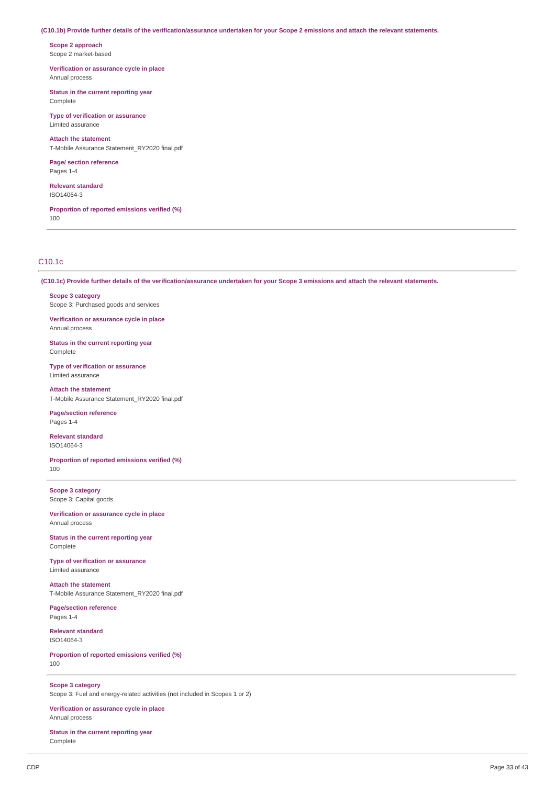#### (C10.1b) Provide further details of the verification/assurance undertaken for your Scope 2 emissions and attach the relevant statements.

**Scope 2 approach** Scope 2 market-based

**Verification or assurance cycle in place** Annual process

**Status in the current reporting year** Complete

**Type of verification or assurance** Limited assurance

**Attach the statement** T-Mobile Assurance Statement\_RY2020 final.pdf

**Page/ section reference** Pages 1-4

**Relevant standard** ISO14064-3

**Proportion of reported emissions verified (%)** 100

### C10.1c

(C10.1c) Provide further details of the verification/assurance undertaken for your Scope 3 emissions and attach the relevant statements.

**Scope 3 category** Scope 3: Purchased goods and services

**Verification or assurance cycle in place** Annual process

**Status in the current reporting year** Complete

**Type of verification or assurance** Limited assurance

**Attach the statement** T-Mobile Assurance Statement\_RY2020 final.pdf

**Page/section reference** Pages 1-4

**Relevant standard** ISO14064-3

**Proportion of reported emissions verified (%)** 100

**Scope 3 category** Scope 3: Capital goods

**Verification or assurance cycle in place** Annual process

**Status in the current reporting year** Complete

**Type of verification or assurance** Limited assurance

**Attach the statement** T-Mobile Assurance Statement\_RY2020 final.pdf

**Page/section reference** Pages 1-4

**Relevant standard** ISO14064-3

**Proportion of reported emissions verified (%)** 100

**Scope 3 category** Scope 3: Fuel and energy-related activities (not included in Scopes 1 or 2)

**Verification or assurance cycle in place** Annual process

**Status in the current reporting year** Complete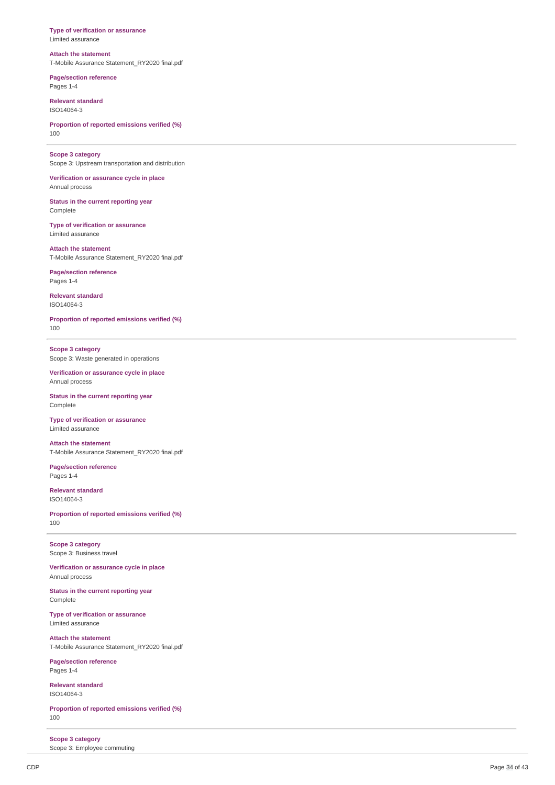#### **Type of verification or assurance** Limited assurance

### **Attach the statement**

T-Mobile Assurance Statement\_RY2020 final.pdf

**Page/section reference** Pages 1-4

**Relevant standard** ISO14064-3

**Proportion of reported emissions verified (%)** 1 0 0

**Scope 3 category** Scope 3: Upstream transportation and distribution

Annual process

Verification or assurance cycle in place

Status in the current reporting year Complete

**Type of verification or assurance** Limited assurance

**Attach the statement** T-Mobile Assurance Statement RY2020 final.pdf

**Page/section reference** Pages 1-4

**Relevant standard** ISO14064-3

**Proportion of reported emissions verified (%)** 1 0 0

**Scope 3 category** Scope 3: Waste generated in operations

Verification or assurance cycle in place Annual process

Status in the current reporting year Complete

**Type of verification or assurance** Limited assurance

**Attach the statement** T-Mobile Assurance Statement\_RY2020 final.pdf

**Page/section reference** Pages 1-4

**Relevant standard** ISO14064-3

**Proportion of reported emissions verified (%)** 1 0 0

**Scope 3 category** Scope 3: Business travel

**Verification or assuranc e c y cle in pla c e** Annual process

Status in the current reporting year Complete

**Type of verification or assurance** Limited assurance

**Attach the statement** T-Mobile Assurance Statement\_RY2020 final.pdf

**Page/section reference** Pages 1-4

**Relevant standard** ISO14064-3

**Proportion of reported emissions verified (%)** 1 0 0

**Scope 3 category** Scope 3: Employee commuting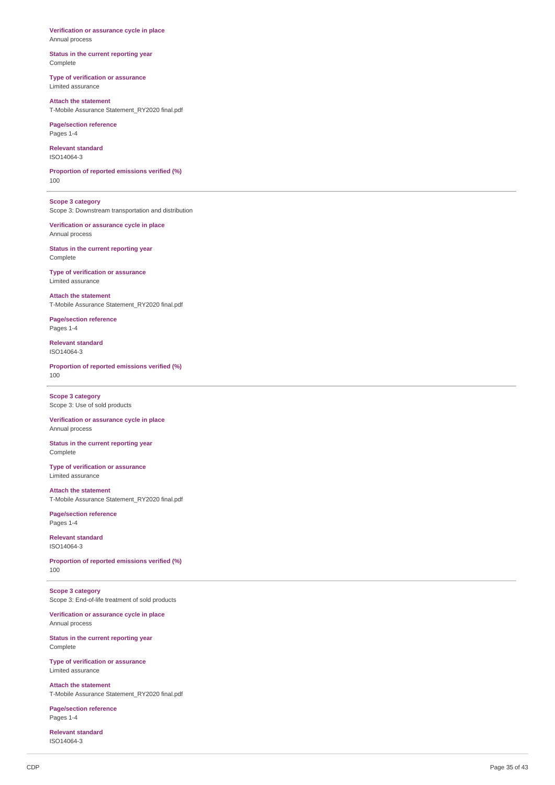Verification or assurance cycle in place Annual process

Status in the current reporting year Complete

**Type of verification or assurance** Limited assurance

**Attach the statement** T-Mobile Assurance Statement\_RY2020 final.pdf

**Page/section reference** Pages 1-4

**Relevant standard** ISO14064-3

**Proportion of reported emissions verified (%)** 1 0 0

**Scope 3 category** Scope 3: Downstream transportation and distribution

Verification or assurance cycle in place Annual process

Status in the current reporting year Complete

**Type of verification or assurance** Limited assurance

**Attach the statement** T-Mobile Assurance Statement\_RY2020 final.pdf

**Page/section reference** Pages 1-4

**Relevant standard** ISO14064-3

**Proportion of reported emissions verified (%)** 1 0 0

**Scope 3 category** Scope 3: Use of sold products

Verification or assurance cycle in place Annual process

Status in the current reporting year Complete

**Type of verification or assurance** Limited assurance

**Attach the statement** T-Mobile Assurance Statement\_RY2020 final.pdf

**Page/section reference** Pages 1-4

**Relevant standard** ISO14064-3

**Proportion of reported emissions verified (%)** 1 0 0

**Scope 3 category** Scope 3: End-of-life treatment of sold products

Verification or assurance cycle in place Annual process

Status in the current reporting year Complete

**Type of verification or assurance** Limited assurance

**Attach the statement** T-Mobile Assurance Statement\_RY2020 final.pdf

**Page/section reference** Pages 1-4

**Relevant standard** ISO14064-3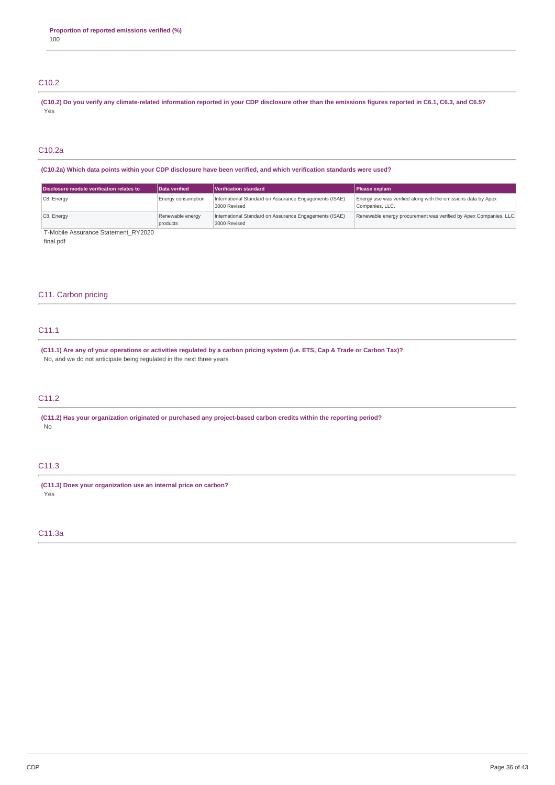# C10.2

(C10.2) Do you verify any climate-related information reported in your CDP disclosure other than the emissions figures reported in C6.1, C6.3, and C6.5? Yes

# C10.2a

(C10.2a) Which data points within your CDP disclosure have been verified, and which verification standards were used?

| Data verified                | Verification standard | <b>Please explain</b>                                                                                                                            |
|------------------------------|-----------------------|--------------------------------------------------------------------------------------------------------------------------------------------------|
| Energy consumption           |                       | Energy use was verified along with the emissions data by Apex<br>Companies, LLC.                                                                 |
| Renewable energy<br>products |                       | Renewable energy procurement was verified by Apex Companies, LLC.                                                                                |
|                              |                       | International Standard on Assurance Engagements (ISAE)<br>3000 Revised<br>International Standard on Assurance Engagements (ISAE)<br>3000 Revised |

T-Mobile Assurance Statement\_RY2020

final.pdf

### C11. Carbon pricing

# C11.1

(C11.1) Are any of your operations or activities regulated by a carbon pricing system (i.e. ETS, Cap & Trade or Carbon Tax)? No, and we do not anticipate being regulated in the next three years

# C11.2

**(C11.2) Has your organization originated or purchased any project-based carbon credits within the reporting period?** No

# C11.3

**(C11.3) Does your organization use an internal price on carbon?** Yes

### C11.3a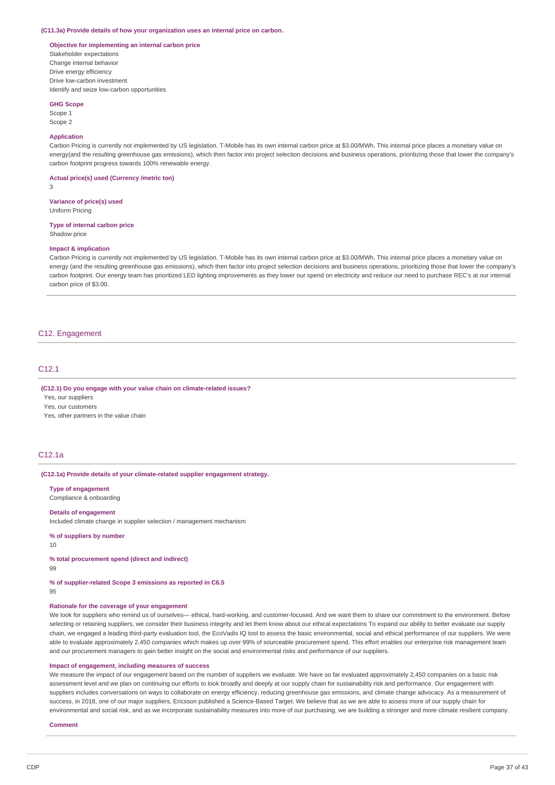#### **(C11.3a) Provide details of how your organization uses an internal price on carbon.**

### **Objective for implementing an internal carbon price**

Stakeholder expectations Change internal behavior Drive energy efficiency Drive low-carbon investment Identify and seize low-carbon opportunities

#### **GHG Scope**

Scope 1 Scope 2

#### **Application**

Carbon Pricing is currently not implemented by US legislation. T-Mobile has its own internal carbon price at \$3.00/MWh. This internal price places a monetary value on energy(and the resulting greenhouse gas emissions), which then factor into project selection decisions and business operations, prioritizing those that lower the company's carbon footprint progress towards 100% renewable energy.

**Actual price(s) used (Currency /metric ton)**

3

**Variance of price(s) used** Uniform Pricing

**Type of internal carbon price**

Shadow price

### **Impact & implication**

Carbon Pricing is currently not implemented by US legislation. T-Mobile has its own internal carbon price at \$3.00/MWh. This internal price places a monetary value on energy (and the resulting greenhouse gas emissions), which then factor into project selection decisions and business operations, prioritizing those that lower the company's carbon footprint. Our energy team has prioritized LED lighting improvements as they lower our spend on electricity and reduce our need to purchase REC's at our internal carbon price of \$3.00.

### C12. Engagement

### C12.1

### **(C12.1) Do you engage with your value chain on climate-related issues?**

Yes, our suppliers

Yes, our customers

Yes, other partners in the value chain

### C12.1a

#### **(C12.1a) Provide details of your climate-related supplier engagement strategy.**

**Type of engagement** Compliance & onboarding

#### **Details of engagement**

Included climate change in supplier selection / management mechanism

**% of suppliers by number**

10

**% total procurement spend (direct and indirect)**

99

**% of supplier-related Scope 3 emissions as reported in C6.5** 95

### **Rationale for the coverage of your engagement**

We look for suppliers who remind us of ourselves— ethical, hard-working, and customer-focused. And we want them to share our commitment to the environment. Before selecting or retaining suppliers, we consider their business integrity and let them know about our ethical expectations To expand our ability to better evaluate our supply chain, we engaged a leading third-party evaluation tool, the EcoVadis IQ tool to assess the basic environmental, social and ethical performance of our suppliers. We were able to evaluate approximately 2,450 companies which makes up over 99% of sourceable procurement spend. This effort enables our enterprise risk management team and our procurement managers to gain better insight on the social and environmental risks and performance of our suppliers.

#### **Impact of engagement, including measures of success**

We measure the impact of our engagement based on the number of suppliers we evaluate. We have so far evaluated approximately 2,450 companies on a basic risk assessment level and we plan on continuing our efforts to look broadly and deeply at our supply chain for sustainability risk and performance. Our engagement with suppliers includes conversations on ways to collaborate on energy efficiency, reducing greenhouse gas emissions, and climate change advocacy. As a measurement of success, in 2018, one of our major suppliers, Ericsson published a Science-Based Target. We believe that as we are able to assess more of our supply chain for environmental and social risk, and as we incorporate sustainability measures into more of our purchasing, we are building a stronger and more climate resilient company.

#### **Comment**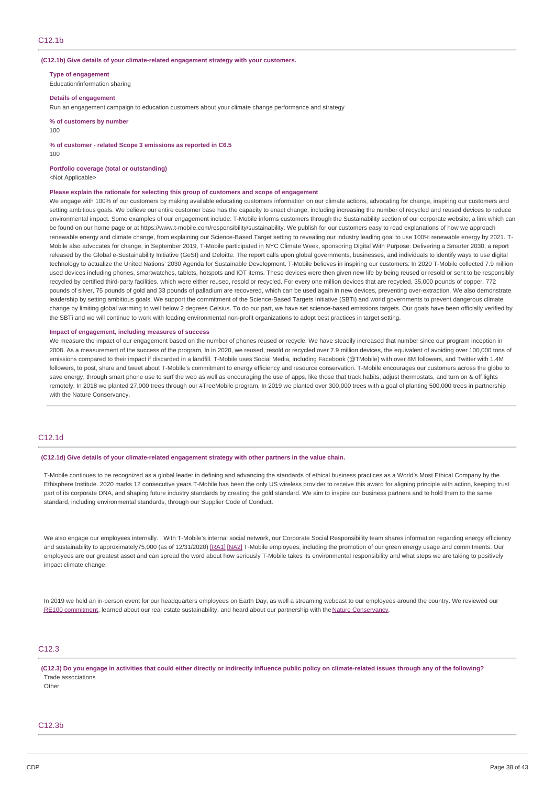#### **(C12.1b) Give details of your climate-related engagement strategy with your customers.**

**Type of engagement** Education/information sharing

#### **Details of engagement**

Run an engagement campaign to education customers about your climate change performance and strategy

**% of customers by number**

100

**% of customer - related Scope 3 emissions as reported in C6.5**

100

### **Portfolio coverage (total or outstanding)**

<Not Applicable>

#### **Please explain the rationale for selecting this group of customers and scope of engagement**

We engage with 100% of our customers by making available educating customers information on our climate actions, advocating for change, inspiring our customers and setting ambitious goals. We believe our entire customer base has the capacity to enact change, including increasing the number of recycled and reused devices to reduce environmental impact. Some examples of our engagement include: T-Mobile informs customers through the Sustainability section of our corporate website, a link which can be found on our home page or at https://www.t-mobile.com/responsibility/sustainability. We publish for our customers easy to read explanations of how we approach renewable energy and climate change, from explaining our Science-Based Target setting to revealing our industry leading goal to use 100% renewable energy by 2021. T-Mobile also advocates for change, in September 2019, T-Mobile participated in NYC Climate Week, sponsoring Digital With Purpose: Delivering a Smarter 2030, a report released by the Global e-Sustainability Initiative (GeSI) and Deloitte. The report calls upon global governments, businesses, and individuals to identify ways to use digital technology to actualize the United Nations' 2030 Agenda for Sustainable Development. T-Mobile believes in inspiring our customers: In 2020 T-Mobile collected 7.9 million used devices including phones, smartwatches, tablets, hotspots and IOT items. These devices were then given new life by being reused or resold or sent to be responsibly recycled by certified third-party facilities. which were either reused, resold or recycled. For every one million devices that are recycled, 35,000 pounds of copper, 772 pounds of silver, 75 pounds of gold and 33 pounds of palladium are recovered, which can be used again in new devices, preventing over-extraction. We also demonstrate leadership by setting ambitious goals. We support the commitment of the Science-Based Targets Initiative (SBTi) and world governments to prevent dangerous climate change by limiting global warming to well below 2 degrees Celsius. To do our part, we have set science-based emissions targets. Our goals have been officially verified by the SBTi and we will continue to work with leading environmental non-profit organizations to adopt best practices in target setting.

#### **Impact of engagement, including measures of success**

We measure the impact of our engagement based on the number of phones reused or recycle. We have steadily increased that number since our program inception in 2008. As a measurement of the success of the program, In in 2020, we reused, resold or recycled over 7.9 million devices, the equivalent of avoiding over 100,000 tons of emissions compared to their impact if discarded in a landfill. T-Mobile uses Social Media, including Facebook (@TMobile) with over 8M followers, and Twitter with 1.4M followers, to post, share and tweet about T-Mobile's commitment to energy efficiency and resource conservation. T-Mobile encourages our customers across the globe to save energy, through smart phone use to surf the web as well as encouraging the use of apps, like those that track habits, adjust thermostats, and turn on & off lights remotely. In 2018 we planted 27,000 trees through our #TreeMobile program. In 2019 we planted over 300,000 trees with a goal of planting 500,000 trees in partnership with the Nature Conservancy.

### C12.1d

**(C12.1d) Give details of your climate-related engagement strategy with other partners in the value chain.**

T-Mobile continues to be recognized as a global leader in defining and advancing the standards of ethical business practices as a World's Most Ethical Company by the Ethisphere Institute. 2020 marks 12 consecutive years T-Mobile has been the only US wireless provider to receive this award for aligning principle with action, keeping trust part of its corporate DNA, and shaping future industry standards by creating the gold standard. We aim to inspire our business partners and to hold them to the same standard, including environmental standards, through our Supplier Code of Conduct.

We also engage our employees internally. With T-Mobile's internal social network, our Corporate Social Responsibility team shares information regarding energy efficiency and sustainability to approximately75,000 (as of 12/31/2020) [\[RA1\]](https://cdp.credit360.com/surveys/2021/dbbr64mv/145457#_msocom_1) [\[NA2\]](https://cdp.credit360.com/surveys/2021/dbbr64mv/145457#_msocom_2) T-Mobile employees, including the promotion of our green energy usage and commitments. Our employees are our greatest asset and can spread the word about how seriously T-Mobile takes its environmental responsibility and what steps we are taking to positively impact climate change.

In 2019 we held an in-person event for our headquarters employees on Earth Day, as well a streaming webcast to our employees around the country. We reviewed our RE100 [commitment](https://www.t-mobile.com/responsibility/sustainability/renewable-energy), learned about our real estate sustainability, and heard about our partnership with the Nature [Conservancy](https://nam02.safelinks.protection.outlook.com/?url=https://www.nature.org/en-us/&data=02%257c01%257cDaniela.Hoag2%2540T-Mobile.com%257c51042608db16487638d408d6b947cf01%257cbe0f980bdd994b19bd7bbc71a09b026c%257c0%257c0%257c636900115397734138&sdata=BurDFwFUGYi0z2zPqsGUMC0bRM38NgIs3FX7pMuRT4c%253D&reserved=0).

## C12.3

(C12.3) Do you engage in activities that could either directly or indirectly influence public policy on climate-related issues through any of the following? Trade associations

Other

### C12.3b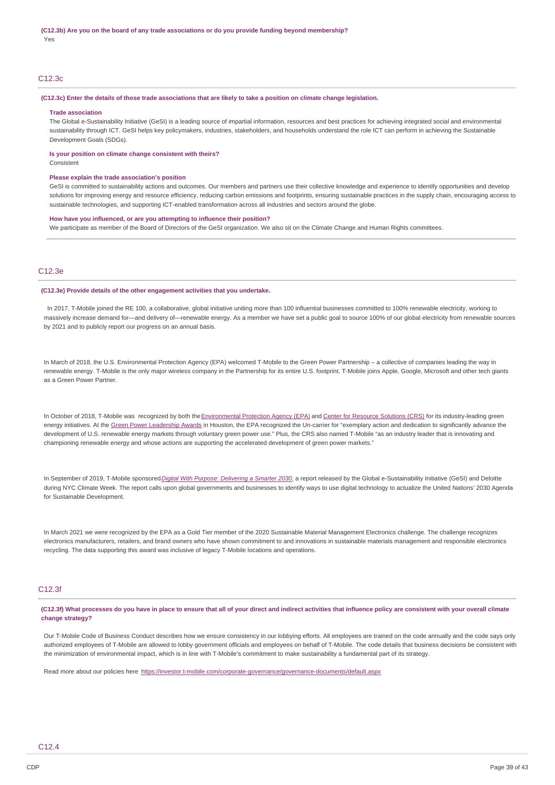### C12.3c

#### (C12.3c) Enter the details of those trade associations that are likely to take a position on climate change legislation.

#### **Trade association**

The Global e-Sustainability Initiative (GeSI) is a leading source of impartial information, resources and best practices for achieving integrated social and environmental sustainability through ICT. GeSI helps key policymakers, industries, stakeholders, and households understand the role ICT can perform in achieving the Sustainable Development Goals (SDGs).

#### **Is your position on climate change consistent with theirs?**

**Consistent** 

#### **Please explain the trade association's position**

GeSI is committed to sustainability actions and outcomes. Our members and partners use their collective knowledge and experience to identify opportunities and develop solutions for improving energy and resource efficiency, reducing carbon emissions and footprints, ensuring sustainable practices in the supply chain, encouraging access to sustainable technologies, and supporting ICT-enabled transformation across all industries and sectors around the globe.

#### **How have you influenced, or are you attempting to influence their position?**

We participate as member of the Board of Directors of the GeSI organization. We also sit on the Climate Change and Human Rights committees.

### C12.3e

#### **(C12.3e) Provide details of the other engagement activities that you undertake.**

In 2017, T-Mobile joined the RE 100, a collaborative, global initiative uniting more than 100 influential businesses committed to 100% renewable electricity, working to massively increase demand for—and delivery of—renewable energy. As a member we have set a public goal to source 100% of our global electricity from renewable sources by 2021 and to publicly report our progress on an annual basis.

In March of 2018, the U.S. Environmental Protection Agency (EPA) welcomed T-Mobile to the Green Power Partnership – a collective of companies leading the way in renewable energy. T-Mobile is the only major wireless company in the Partnership for its entire U.S. footprint. T-Mobile joins Apple, Google, Microsoft and other tech giants as a Green Power Partner.

In October of 2018, T-Mobile was recognized by both the [Environmental](https://www.epa.gov/newsreleases/anheuser-busch-recognized-excellence-green-power-use-2018-epa-leadership-awards) Protection Agency (EPA) and Center for [Resource](https://resource-solutions.org/press-releases/10101801/) Solutions (CRS) for its industry-leading green energy initiatives. At the Green Power [Leadership](https://www.epa.gov/greenpower/green-power-leadership-awards) Awards in Houston, the EPA recognized the Un-carrier for "exemplary action and dedication to significantly advance the development of U.S. renewable energy markets through voluntary green power use." Plus, the CRS also named T-Mobile "as an industry leader that is innovating and championing renewable energy and whose actions are supporting the accelerated development of green power markets."

In September of 2019, T-Mobile sponsored*Digital With Purpose: [Delivering](http://digitalwithpurpose.gesi.org/) a Smarter 2030*, a report released by the Global e-Sustainability Initiative (GeSI) and Deloitte during NYC Climate Week. The report calls upon global governments and businesses to identify ways to use digital technology to actualize the United Nations' 2030 Agenda for Sustainable Development.

In March 2021 we were recognized by the EPA as a Gold Tier member of the 2020 Sustainable Material Management Electronics challenge. The challenge recognizes electronics manufacturers, retailers, and brand owners who have shown commitment to and innovations in sustainable materials management and responsible electronics recycling. The data supporting this award was inclusive of legacy T-Mobile locations and operations.

### C12.3f

(C12.3f) What processes do you have in place to ensure that all of your direct and indirect activities that influence policy are consistent with your overall climate **change strategy?**

Our T-Mobile Code of Business Conduct describes how we ensure consistency in our lobbying efforts. All employees are trained on the code annually and the code says only authorized employees of T-Mobile are allowed to lobby government officials and employees on behalf of T-Mobile. The code details that business decisions be consistent with the minimization of environmental impact, which is in line with T-Mobile's commitment to make sustainability a fundamental part of its strategy.

Read more about our policies here <https://investor.t-mobile.com/corporate-governance/governance-documents/default.aspx>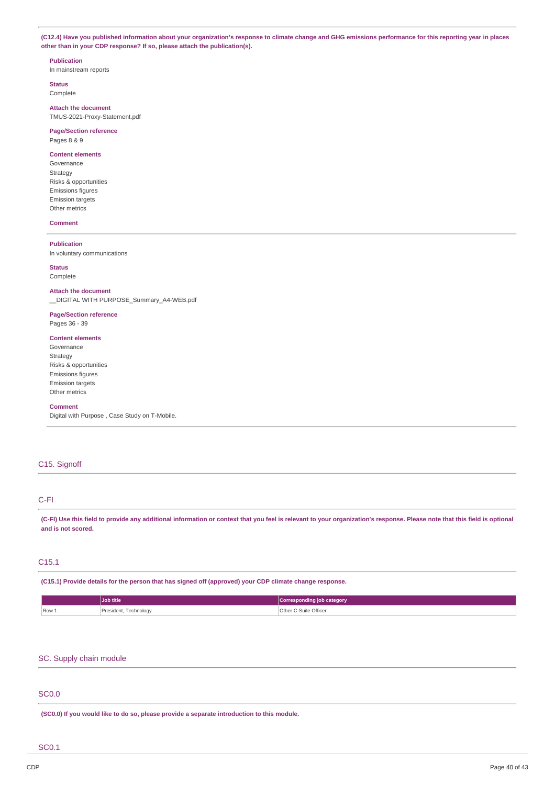(C12.4) Have you published information about your organization's response to climate change and GHG emissions performance for this reporting year in places **other than in your CDP response? If so, please attach the publication(s).**

#### **Publication**

In mainstream reports

**Status Complete** 

**Attach the document** TMUS-2021-Proxy-Statement.pdf

### **Page/Section reference** Pages 8 & 9

#### **Content elements** Governance

Strategy Risks & opportunities Emissions figures Emission targets Other metrics

### **Comment**

### **Publication**

In voluntary communications

### **Status**

Complete

#### **Attach the document**

\_\_DIGITAL WITH PURPOSE\_Summary\_A4-WEB.pdf

# **Page/Section reference**

Pages 36 - 39

### **Content elements**

Governance Strategy Risks & opportunities Emissions figures Emission targets Other metrics

#### **Comment**

Digital with Purpose , Case Study on T-Mobile.

# C15. Signoff

### C-FI

(C-FI) Use this field to provide any additional information or context that you feel is relevant to your organization's response. Please note that this field is optional **and is not scored.**

### C15.1

**(C15.1) Provide details for the person that has signed off (approved) your CDP climate change response.**

|       | Job title             | Corresponding job category |
|-------|-----------------------|----------------------------|
| Row . | President, Technology | Other C-Suite Officer      |

# SC. Supply chain module

# SC0.0

**(SC0.0) If you would like to do so, please provide a separate introduction to this module.**

### SC0.1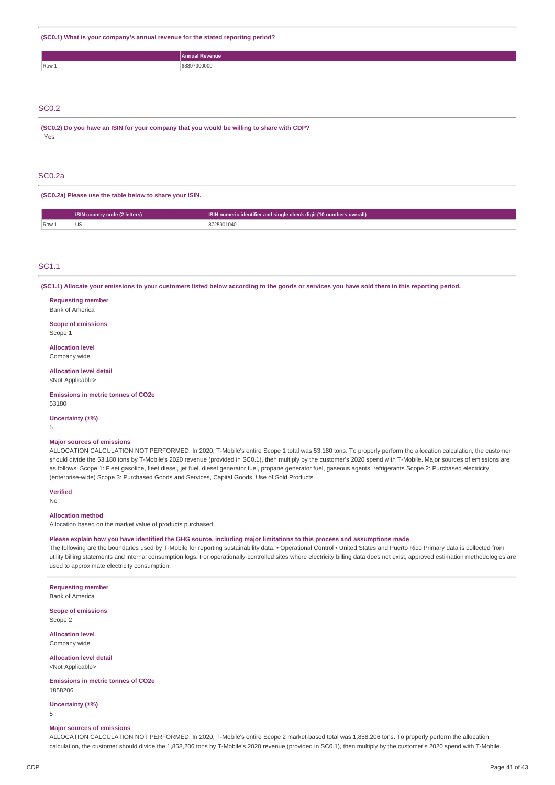**(SC0.1) What is your company's annual revenue for the stated reporting period?**

|       | evenue<br>Annual    |
|-------|---------------------|
| Row 1 | 17000<br>w<br>,,,,, |

# SC0.2

**(SC0.2) Do you have an ISIN for your company that you would be willing to share with CDP?** Yes

### SC0.2a

**(SC0.2a) Please use the table below to share your ISIN.**

|     | ISIN country code (2 letters) | SIN numeric identifier and single check digit (10 numbers overall) |
|-----|-------------------------------|--------------------------------------------------------------------|
| Row | US                            | 25901040                                                           |

#### SC1.1

(SC1.1) Allocate your emissions to your customers listed below according to the goods or services you have sold them in this reporting period.

# **Requesting member**

Bank of America

#### **Scope of emissions** Scope 1

#### **Allocation level** Company wide

### **Allocation level detail**

<Not Applicable>

**Emissions in metric tonnes of CO2e** 53180

**Uncertainty (±%)** 5

# **Major sources of emissions**

ALLOCATION CALCULATION NOT PERFORMED: In 2020, T-Mobile's entire Scope 1 total was 53,180 tons. To properly perform the allocation calculation, the customer should divide the 53,180 tons by T-Mobile's 2020 revenue (provided in SC0.1), then multiply by the customer's 2020 spend with T-Mobile. Major sources of emissions are as follows: Scope 1: Fleet gasoline, fleet diesel, jet fuel, diesel generator fuel, propane generator fuel, gaseous agents, refrigerants Scope 2: Purchased electricity (enterprise-wide) Scope 3: Purchased Goods and Services, Capital Goods, Use of Sold Products

#### **Verified**

No

### **Allocation method**

Allocation based on the market value of products purchased

Please explain how you have identified the GHG source, including major limitations to this process and assumptions made

The following are the boundaries used by T-Mobile for reporting sustainability data: • Operational Control • United States and Puerto Rico Primary data is collected from utility billing statements and internal consumption logs. For operationally-controlled sites where electricity billing data does not exist, approved estimation methodologies are used to approximate electricity consumption.

**Requesting member** Bank of America

**Scope of emissions** Scope 2

**Allocation level** Company wide

**Allocation level detail** <Not Applicable>

**Emissions in metric tonnes of CO2e** 1858206

**Uncertainty (±%)**

5

#### **Major sources of emissions**

ALLOCATION CALCULATION NOT PERFORMED: In 2020, T-Mobile's entire Scope 2 market-based total was 1,858,206 tons. To properly perform the allocation calculation, the customer should divide the 1,858,206 tons by T-Mobile's 2020 revenue (provided in SC0.1), then multiply by the customer's 2020 spend with T-Mobile.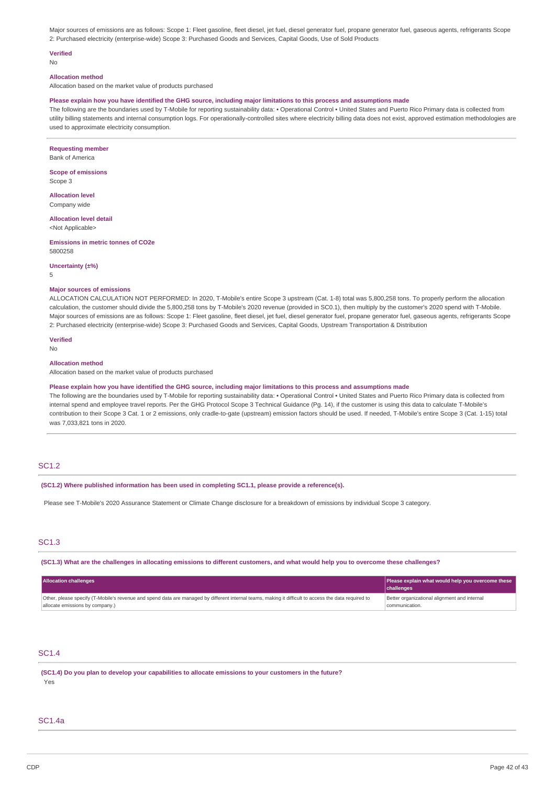Major sources of emissions are as follows: Scope 1: Fleet gasoline, fleet diesel, jet fuel, diesel generator fuel, propane generator fuel, gaseous agents, refrigerants Scope 2: Purchased electricity (enterprise-wide) Scope 3: Purchased Goods and Services, Capital Goods, Use of Sold Products

### **Verified**

No

### **Allocation method**

Allocation based on the market value of products purchased

#### Please explain how you have identified the GHG source, including major limitations to this process and assumptions made

The following are the boundaries used by T-Mobile for reporting sustainability data: • Operational Control • United States and Puerto Rico Primary data is collected from utility billing statements and internal consumption logs. For operationally-controlled sites where electricity billing data does not exist, approved estimation methodologies are used to approximate electricity consumption.

**Requesting member**

Bank of America

**Scope of emissions** Scope 3

**Allocation level** Company wide

**Allocation level detail** <Not Applicable>

**Emissions in metric tonnes of CO2e** 5800258

**Uncertainty (±%)**

5

#### **Major sources of emissions**

ALLOCATION CALCULATION NOT PERFORMED: In 2020, T-Mobile's entire Scope 3 upstream (Cat. 1-8) total was 5,800,258 tons. To properly perform the allocation calculation, the customer should divide the 5,800,258 tons by T-Mobile's 2020 revenue (provided in SC0.1), then multiply by the customer's 2020 spend with T-Mobile. Major sources of emissions are as follows: Scope 1: Fleet gasoline, fleet diesel, jet fuel, diesel generator fuel, propane generator fuel, gaseous agents, refrigerants Scope 2: Purchased electricity (enterprise-wide) Scope 3: Purchased Goods and Services, Capital Goods, Upstream Transportation & Distribution

**Verified** No

#### **Allocation method**

Allocation based on the market value of products purchased

#### Please explain how you have identified the GHG source, including major limitations to this process and assumptions made

The following are the boundaries used by T-Mobile for reporting sustainability data: • Operational Control • United States and Puerto Rico Primary data is collected from internal spend and employee travel reports. Per the GHG Protocol Scope 3 Technical Guidance (Pg. 14), if the customer is using this data to calculate T-Mobile's contribution to their Scope 3 Cat. 1 or 2 emissions, only cradle-to-gate (upstream) emission factors should be used. If needed, T-Mobile's entire Scope 3 (Cat. 1-15) total was 7,033,821 tons in 2020.

### SC1.2

**(SC1.2) Where published information has been used in completing SC1.1, please provide a reference(s).**

Please see T-Mobile's 2020 Assurance Statement or Climate Change disclosure for a breakdown of emissions by individual Scope 3 category.

# SC1.3

(SC1.3) What are the challenges in allocating emissions to different customers, and what would help you to overcome these challenges?

| <b>Allocation challenges</b>                                                                                                                                                            | Please explain what would help you overcome these              |
|-----------------------------------------------------------------------------------------------------------------------------------------------------------------------------------------|----------------------------------------------------------------|
|                                                                                                                                                                                         | challenges                                                     |
| Other, please specify (T-Mobile's revenue and spend data are managed by different internal teams, making it difficult to access the data required to<br>allocate emissions by company.) | Better organizational alignment and internal<br>communication. |

### SC1.4

**(SC1.4) Do you plan to develop your capabilities to allocate emissions to your customers in the future?** Yes

# SC1.4a